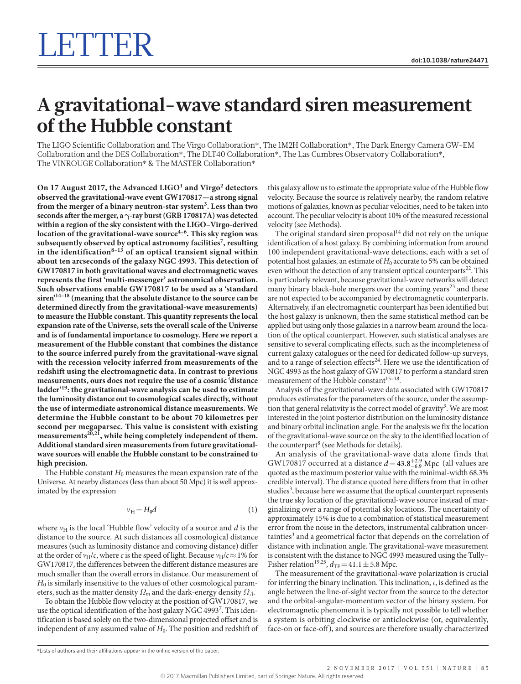# **A gravitational-wave standard siren measurement of the Hubble constant**

The LIGO Scientific Collaboration and The Virgo Collaboration\*, The 1M2H Collaboration\*, The Dark Energy Camera GW-EM Collaboration and the DES Collaboration\*, The DLT40 Collaboration\*, The Las Cumbres Observatory Collaboration\*, The VINROUGE Collaboration\* & The MASTER Collaboration\*

**On 17 August 2017, the Advanced LIGO[1](#page-2-0) and Virgo[2](#page-2-1) detectors observed the gravitational-wave event GW170817—a strong signal from the merger of a binary neutron-star system[3](#page-2-2) . Less than two seconds after the merger, a γ-ray burst (GRB 170817A) was detected within a region of the sky consistent with the LIGO–Virgo-derived location of the gravitational-wave source[4–6](#page-2-3). This sky region was subsequently observed by optical astronomy facilities[7](#page-2-4) , resulting in the identification[8–13](#page-2-5) of an optical transient signal within about ten arcseconds of the galaxy NGC 4993. This detection of GW170817 in both gravitational waves and electromagnetic waves represents the first 'multi-messenger' astronomical observation. Such observations enable GW170817 to be used as a 'standard siren['14–18](#page-2-6) (meaning that the absolute distance to the source can be determined directly from the gravitational-wave measurements) to measure the Hubble constant. This quantity represents the local expansion rate of the Universe, sets the overall scale of the Universe and is of fundamental importance to cosmology. Here we report a measurement of the Hubble constant that combines the distance to the source inferred purely from the gravitational-wave signal with the recession velocity inferred from measurements of the redshift using the electromagnetic data. In contrast to previous measurements, ours does not require the use of a cosmic 'distance ladder'[19:](#page-2-7) the gravitational-wave analysis can be used to estimate the luminosity distance out to cosmological scales directly, without the use of intermediate astronomical distance measurements. We determine the Hubble constant to be about 70 kilometres per second per megaparsec. This value is consistent with existing measurements[20](#page-2-8),[21](#page-2-9), while being completely independent of them. Additional standard siren measurements from future gravitationalwave sources will enable the Hubble constant to be constrained to high precision.**

The Hubble constant  $H_0$  measures the mean expansion rate of the Universe. At nearby distances (less than about 50 Mpc) it is well approximated by the expression

$$
\nu_H = H_0 d \tag{1}
$$

where  $v_H$  is the local 'Hubble flow' velocity of a source and  $d$  is the distance to the source. At such distances all cosmological distance measures (such as luminosity distance and comoving distance) differ at the order of  $v_H/c$ , where *c* is the speed of light. Because  $v_H/c \approx 1\%$  for GW170817, the differences between the different distance measures are much smaller than the overall errors in distance. Our measurement of *H*<sub>0</sub> is similarly insensitive to the values of other cosmological parameters, such as the matter density  $\Omega_m$  and the dark-energy density  $\Omega_\Lambda$ .

To obtain the Hubble flow velocity at the position of GW170817, we use the optical identification of the host galaxy NGC 4993[7](#page-2-4). This identification is based solely on the two-dimensional projected offset and is independent of any assumed value of *H*<sub>0</sub>. The position and redshift of this galaxy allow us to estimate the appropriate value of the Hubble flow velocity. Because the source is relatively nearby, the random relative motions of galaxies, known as peculiar velocities, need to be taken into account. The peculiar velocity is about 10% of the measured recessional velocity (see Methods).

The original standard siren proposal $14$  did not rely on the unique identification of a host galaxy. By combining information from around 100 independent gravitational-wave detections, each with a set of potential host galaxies, an estimate of  $H_0$  accurate to 5% can be obtained even without the detection of any transient optical counterparts<sup>22</sup>. This is particularly relevant, because gravitational-wave networks will detect many binary black-hole mergers over the coming years<sup>[23](#page-2-11)</sup> and these are not expected to be accompanied by electromagnetic counterparts. Alternatively, if an electromagnetic counterpart has been identified but the host galaxy is unknown, then the same statistical method can be applied but using only those galaxies in a narrow beam around the location of the optical counterpart. However, such statistical analyses are sensitive to several complicating effects, such as the incompleteness of current galaxy catalogues or the need for dedicated follow-up surveys, and to a range of selection effects<sup>24</sup>. Here we use the identification of NGC 4993 as the host galaxy of GW170817 to perform a standard siren measurement of the Hubble constant<sup>15-18</sup>.

Analysis of the gravitational-wave data associated with GW170817 produces estimates for the parameters of the source, under the assump-tion that general relativity is the correct model of gravity<sup>[3](#page-2-2)</sup>. We are most interested in the joint posterior distribution on the luminosity distance and binary orbital inclination angle. For the analysis we fix the location of the gravitational-wave source on the sky to the identified location of the counterpart<sup>8</sup> (see Methods for details).

An analysis of the gravitational-wave data alone finds that GW170817 occurred at a distance  $d = 43.8^{+2.9}_{-6.9}$  Mpc (all values are quoted as the maximum posterior value with the minimal-width 68.3% credible interval). The distance quoted here differs from that in other studies<sup>[3](#page-2-2)</sup>, because here we assume that the optical counterpart represents the true sky location of the gravitational-wave source instead of marginalizing over a range of potential sky locations. The uncertainty of approximately 15% is due to a combination of statistical measurement error from the noise in the detectors, instrumental calibration uncer-tainties<sup>[3](#page-2-2)</sup> and a geometrical factor that depends on the correlation of distance with inclination angle. The gravitational-wave measurement is consistent with the distance to NGC 4993 measured using the Tully– Fisher relation<sup>19,25</sup>,  $d_{\text{TF}}=41.1 \pm 5.8$  Mpc.

The measurement of the gravitational-wave polarization is crucial for inferring the binary inclination. This inclination, *ι*, is defined as the angle between the line-of-sight vector from the source to the detector and the orbital-angular-momentum vector of the binary system. For electromagnetic phenomena it is typically not possible to tell whether a system is orbiting clockwise or anticlockwise (or, equivalently, face-on or face-off), and sources are therefore usually characterized

<sup>\*</sup>Lists of authors and their affiliations appear in the online version of the paper.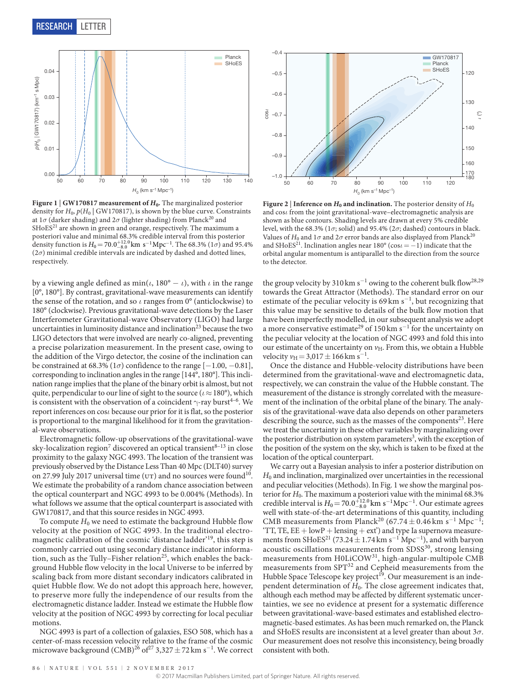

<span id="page-1-0"></span>**Figure 1** | **GW170817 measurement of** *H***0.** The marginalized posterior density for  $H_0$ ,  $p(H_0 | GW170817)$ , is shown by the blue curve. Constraints at  $1\sigma$  (darker shading) and  $2\sigma$  (lighter shading) from Planck<sup>[20](#page-2-8)</sup> and SHoES<sup>21</sup> are shown in green and orange, respectively. The maximum a posteriori value and minimal 68.3% credible interval from this posterior density function is  $H_0 = 70.0^{+12.0}_{-8.0}$  km s<sup>-1</sup> Mpc<sup>-1</sup>. The 68.3% (1 $\sigma$ ) and 95.4%  $(2\sigma)$  minimal credible intervals are indicated by dashed and dotted lines, respectively.

by a viewing angle defined as  $min(\iota, 180^\circ - \iota)$ , with  $\iota$  in the range [0°, 180°]. By contrast, gravitational-wave measurements can identify the sense of the rotation, and so *ι* ranges from 0° (anticlockwise) to 180° (clockwise). Previous gravitational-wave detections by the Laser Interferometer Gravitational-wave Observatory (LIGO) had large uncertainties in luminosity distance and inclination<sup>23</sup> because the two LIGO detectors that were involved are nearly co-aligned, preventing a precise polarization measurement. In the present case, owing to the addition of the Virgo detector, the cosine of the inclination can be constrained at 68.3% ( $1\sigma$ ) confidence to the range  $[-1.00, -0.81]$ , corresponding to inclination angles in the range [144°, 180°]. This inclination range implies that the plane of the binary orbit is almost, but not quite, perpendicular to our line of sight to the source (*ι*≈180°), which is consistent with the observation of a coincident  $\gamma$ -ray burst<sup>4–6</sup>. We report inferences on cos*ι* because our prior for it is flat, so the posterior is proportional to the marginal likelihood for it from the gravitational-wave observations.

Electromagnetic follow-up observations of the gravitational-wave sky-localization region<sup>[7](#page-2-4)</sup> discovered an optical transient $^{8-13}$  in close proximity to the galaxy NGC 4993. The location of the transient was previously observed by the Distance Less Than 40 Mpc (DLT40) survey on 27.99 July 2017 universal time ( $UT$ ) and no sources were found<sup>10</sup>. We estimate the probability of a random chance association between the optical counterpart and NGC 4993 to be 0.004% (Methods). In what follows we assume that the optical counterpart is associated with GW170817, and that this source resides in NGC 4993.

To compute  $H_0$  we need to estimate the background Hubble flow velocity at the position of NGC 4993. In the traditional electromagnetic calibration of the cosmic 'distance ladder'<sup>19</sup>, this step is commonly carried out using secondary distance indicator information, such as the Tully–Fisher relation<sup>25</sup>, which enables the background Hubble flow velocity in the local Universe to be inferred by scaling back from more distant secondary indicators calibrated in quiet Hubble flow. We do not adopt this approach here, however, to preserve more fully the independence of our results from the electromagnetic distance ladder. Instead we estimate the Hubble flow velocity at the position of NGC 4993 by correcting for local peculiar motions.

NGC 4993 is part of a collection of galaxies, ESO 508, which has a center-of-mass recession velocity relative to the frame of the cosmic microwave background (CMB)<sup>26</sup> of<sup>27</sup> 3,327  $\pm$  72 km s<sup>-1</sup>. We correct



<span id="page-1-1"></span>**Figure 2** | **Inference on**  $H_0$  **and inclination.** The posterior density of  $H_0$ and cos*ι* from the joint gravitational-wave–electromagnetic analysis are shown as blue contours. Shading levels are drawn at every 5% credible level, with the 68.3% ( $1\sigma$ ; solid) and 95.4% ( $2\sigma$ ; dashed) contours in black. Values of  $H_0$  and  $1\sigma$  and  $2\sigma$  error bands are also displayed from Planck<sup>[20](#page-2-8)</sup> and SHoES<sup>21</sup>. Inclination angles near 180° (cos*ι* = −1) indicate that the orbital angular momentum is antiparallel to the direction from the source to the detector.

the group velocity by 310 km s<sup>-1</sup> owing to the coherent bulk flow<sup>[28](#page-2-18),[29](#page-2-19)</sup> towards the Great Attractor (Methods). The standard error on our estimate of the peculiar velocity is  $69 \text{ km s}^{-1}$ , but recognizing that this value may be sensitive to details of the bulk flow motion that have been imperfectly modelled, in our subsequent analysis we adopt a more conservative estimate<sup>29</sup> of 150 km s<sup>-1</sup> for the uncertainty on the peculiar velocity at the location of NGC 4993 and fold this into our estimate of the uncertainty on  $v_H$ . From this, we obtain a Hubble velocity  $v_{\text{H}} = 3.017 \pm 166 \text{ km s}^{-1}$ .

Once the distance and Hubble-velocity distributions have been determined from the gravitational-wave and electromagnetic data, respectively, we can constrain the value of the Hubble constant. The measurement of the distance is strongly correlated with the measurement of the inclination of the orbital plane of the binary. The analysis of the gravitational-wave data also depends on other parameters describing the source, such as the masses of the components $2<sup>3</sup>$ . Here we treat the uncertainty in these other variables by marginalizing over the posterior distribution on system parameters<sup>3</sup>, with the exception of the position of the system on the sky, which is taken to be fixed at the location of the optical counterpart.

We carry out a Bayesian analysis to infer a posterior distribution on  $H_0$  and inclination, marginalized over uncertainties in the recessional and peculiar velocities (Methods). In [Fig. 1](#page-1-0) we show the marginal posterior for *H*0. The maximum a posteriori value with the minimal 68.3% credible interval is  $H_0 = 70.0_{-8.0}^{+12.0}$  km s<sup>-1</sup>Mpc<sup>-1</sup>. Our estimate agrees well with state-of-the-art determinations of this quantity, including CMB measurements from Planck<sup>20</sup> (67.74 ± 0.46 km s<sup>-1</sup> Mpc<sup>-1</sup>; 'TT, TE,  $EE + lowP + lensing + ext'$  and type Ia supernova measure-ments from SHoES<sup>[21](#page-2-9)</sup> (73.24 ± 1.74 km s<sup>-1</sup> Mpc<sup>-1</sup>), and with baryon acoustic oscillations measurements from  $SDSS<sup>30</sup>$ , strong lensing measurements from H0LiCOW<sup>31</sup>, high-angular-multipole CMB measurements from SPT<sup>[32](#page-3-1)</sup> and Cepheid measurements from the Hubble Space Telescope key project<sup>[19](#page-2-7)</sup>. Our measurement is an independent determination of *H*0. The close agreement indicates that, although each method may be affected by different systematic uncertainties, we see no evidence at present for a systematic difference between gravitational-wave-based estimates and established electromagnetic-based estimates. As has been much remarked on, the Planck and SHoES results are inconsistent at a level greater than about 3*σ*. Our measurement does not resolve this inconsistency, being broadly consistent with both.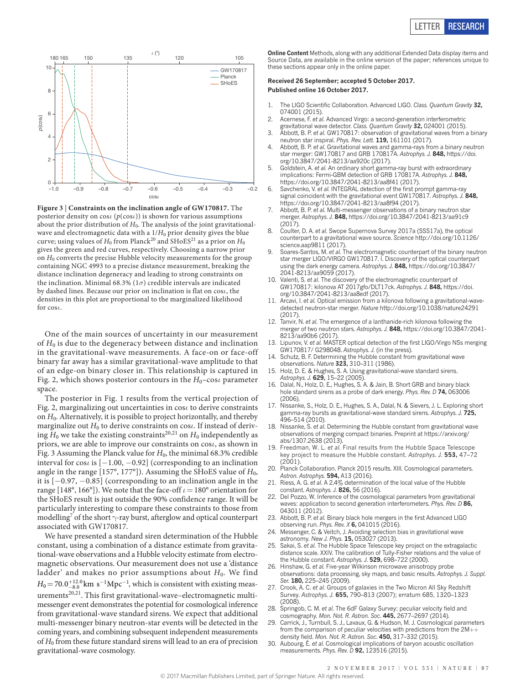

<span id="page-2-21"></span>**Figure 3** | **Constraints on the inclination angle of GW170817.** The posterior density on cos*ι* (*p*(cos*ι*)) is shown for various assumptions about the prior distribution of  $H_0$ . The analysis of the joint gravitationalwave and electromagnetic data with a  $1/H_0$  prior density gives the blue curve; using values of  $H_0$  from Planck<sup>20</sup> and SHoES<sup>21</sup> as a prior on  $H_0$ gives the green and red curves, respectively. Choosing a narrow prior on  $H_0$  converts the precise Hubble velocity measurements for the group containing NGC 4993 to a precise distance measurement, breaking the distance inclination degeneracy and leading to strong constraints on the inclination. Minimal 68.3% ( $1\sigma$ ) credible intervals are indicated by dashed lines. Because our prior on inclination is flat on cos*ι*, the densities in this plot are proportional to the marginalized likelihood for cos*ι*.

One of the main sources of uncertainty in our measurement of  $H_0$  is due to the degeneracy between distance and inclination in the gravitational-wave measurements. A face-on or face-off binary far away has a similar gravitational-wave amplitude to that of an edge-on binary closer in. This relationship is captured in [Fig. 2](#page-1-1), which shows posterior contours in the  $H_0$ –cos*i* parameter space.

The posterior in [Fig. 1](#page-1-0) results from the vertical projection of [Fig. 2,](#page-1-1) marginalizing out uncertainties in cos*ι* to derive constraints on *H*0. Alternatively, it is possible to project horizontally, and thereby marginalize out  $H_0$  to derive constraints on cos*ι*. If instead of deriving  $H_0$  we take the existing constraints<sup>[20](#page-2-8),[21](#page-2-9)</sup> on  $H_0$  independently as priors, we are able to improve our constraints on cos*ι*, as shown in [Fig. 3](#page-2-21) Assuming the Planck value for  $H_0$ , the minimal 68.3% credible interval for cos*ι* is [−1.00, −0.92] (corresponding to an inclination angle in the range  $[157^\circ, 177^\circ]$ ). Assuming the SHoES value of  $H_0$ , it is [−0.97, −0.85] (corresponding to an inclination angle in the range [148°, 166°]). We note that the face-off *ι*=180° orientation for the SHoES result is just outside the 90% confidence range. It will be particularly interesting to compare these constraints to those from modelling<sup>[7](#page-2-4)</sup> of the short  $\gamma$ -ray burst, afterglow and optical counterpart associated with GW170817.

We have presented a standard siren determination of the Hubble constant, using a combination of a distance estimate from gravitational-wave observations and a Hubble velocity estimate from electromagnetic observations. Our measurement does not use a 'distance ladder' and makes no prior assumptions about  $H_0$ . We find  $H_0 = 70.0^{+12.0}_{-8.0}$  km s<sup>-1</sup>Mpc<sup>-1</sup>, which is consistent with existing measurements $^{20,21}$  $^{20,21}$  $^{20,21}$  $^{20,21}$ . This first gravitational-wave–electromagnetic multimessenger event demonstrates the potential for cosmological inference from gravitational-wave standard sirens. We expect that additional multi-messenger binary neutron-star events will be detected in the coming years, and combining subsequent independent measurements of *H*0 from these future standard sirens will lead to an era of precision gravitational-wave cosmology.

**Online Content** Methods, along with any additional Extended Data display items and Source Data, are available in the [online version of the paper;](http://www.nature.com/doifinder/10.1038/nature24471) references unique to these sections appear only in the online paper.

## **received 26 September; accepted 5 October 2017. Published online 16 October 2017.**

- <span id="page-2-0"></span>1. The LIGO Scientific Collaboration. Advanced LIGO. *Class. Quantum Gravity* **32,** 074001 (2015).
- <span id="page-2-1"></span>2. Acernese, F. *et al.* Advanced Virgo: a second-generation interferometric gravitational wave detector. *Class. Quantum Gravity* **32,** 024001 (2015).
- <span id="page-2-2"></span>3. Abbott, B. P. *et al.* GW170817: observation of gravitational waves from a binary neutron star inspiral. *Phys. Rev. Lett.* **119,** 161101 (2017).
- <span id="page-2-3"></span>4. Abbott, B. P. *et al.* Gravitational waves and gamma-rays from a binary neutron star merger: GW170817 and GRB 170817A. *Astrophys. J.* **848,** [https://doi.](https://doi.org/10.3847/2041-8213/aa920c) [org/10.3847/2041-8213/aa920c](https://doi.org/10.3847/2041-8213/aa920c) (2017).
- 5. Goldstein, A. *et al.* An ordinary short gamma-ray burst with extraordinary implications: Fermi-GBM detection of GRB 170817A. *Astrophys. J.* **848,** <https://doi.org/10.3847/2041-8213/aa8f41>(2017).
- 6. Savchenko, V. *et al.* INTEGRAL detection of the first prompt gamma-ray signal coincident with the gravitational event GW170817. *Astrophys. J.* **848,** <https://doi.org/10.3847/2041-8213/aa8f94>(2017).
- <span id="page-2-4"></span>7. Abbott, B. P. *et al.* Multi-messenger observations of a binary neutron star merger. *Astrophys. J.* **848,** <https://doi.org/10.3847/2041-8213/aa91c9>  $(2017)$
- <span id="page-2-5"></span>8. Coulter, D. A. *et al.* Swope Supernova Survey 2017a (SSS17a), the optical counterpart to a gravitational wave source. *Science* [http://doi.org/10.1126/](http://doi.org/10.1126/science.aap9811) [science.aap9811](http://doi.org/10.1126/science.aap9811) (2017).
- 9. Soares-Santos, M. *et al.* The electromagnetic counterpart of the binary neutron star merger LIGO/VIRGO GW170817. I. Discovery of the optical counterpart using the dark energy camera. *Astrophys. J.* **848,** [https://doi.org/10.3847/](https://doi.org/10.3847/2041-8213/aa9059) [2041-8213/aa9059](https://doi.org/10.3847/2041-8213/aa9059) (2017).
- <span id="page-2-15"></span>10. Valenti, S. *et al.* The discovery of the electromagnetic counterpart of GW170817: kilonova AT 2017gfo/DLT17ck. *Astrophys. J.* **848,** [https://doi.](https://doi.org/10.3847/2041-8213/aa8edf) [org/10.3847/2041-8213/aa8edf](https://doi.org/10.3847/2041-8213/aa8edf) (2017).
- 11. Arcavi, I. *et al.* Optical emission from a kilonova following a gravitational-wavedetected neutron-star merger. *Nature* <http://doi.org/10.1038/nature24291>  $(2017)$
- 12. Tanvir, N. *et al.* The emergence of a lanthanide-rich kilonova following the merger of two neutron stars. *Astrophys. J.* **848,** [https://doi.org/10.3847/2041-](https://doi.org/10.3847/2041-8213/aa90b6) [8213/aa90b6](https://doi.org/10.3847/2041-8213/aa90b6) (2017).
- <span id="page-2-22"></span>13. Lipunov, V. *et al.* MASTER optical detection of the first LIGO/Virgo NSs merging GW170817/ G298048. *Astrophys. J.* (in the press).
- <span id="page-2-6"></span>14. Schutz, B. F. Determining the Hubble constant from gravitational wave observations. *Nature* **323,** 310–311 (1986).
- <span id="page-2-13"></span>15. Holz, D. E. & Hughes, S. A. Using gravitational-wave standard sirens. *Astrophys. J.* **629,** 15–22 (2005).
- 16. Dalal, N., Holz, D. E., Hughes, S. A. & Jain, B. Short GRB and binary black hole standard sirens as a probe of dark energy. *Phys. Rev. D* **74,** 063006 (2006).
- 17. Nissanke, S., Holz, D. E., Hughes, S. A., Dalal, N. & Sievers, J. L. Exploring short gamma-ray bursts as gravitational-wave standard sirens. *Astrophys. J.* **725,** 496–514 (2010).
- 18. Nissanke, S. *et al.* Determining the Hubble constant from gravitational wave observations of merging compact binaries. Preprint at [https://arxiv.org/](https://arxiv.org/abs/1307.2638) [abs/1307.2638](https://arxiv.org/abs/1307.2638) (2013).
- <span id="page-2-7"></span>19. Freedman, W. L. *et al.* Final results from the Hubble Space Telescope key project to measure the Hubble constant. *Astrophys. J.* **553,** 47–72  $(2001)$
- <span id="page-2-8"></span>20. Planck Collaboration. Planck 2015 results. XIII. Cosmological parameters. *Astron. Astrophys.* **594,** A13 (2016).
- <span id="page-2-9"></span>21. Riess, A. G. *et al.* A 2.4% determination of the local value of the Hubble constant. *Astrophys. J.* **826,** 56 (2016).
- <span id="page-2-10"></span>22. Del Pozzo, W. Inference of the cosmological parameters from gravitational waves: application to second generation interferometers. *Phys. Rev. D* **86,** 043011 (2012).
- <span id="page-2-11"></span>23. Abbott, B. P. *et al.* Binary black hole mergers in the first Advanced LIGO observing run. *Phys. Rev. X* **6,** 041015 (2016).
- <span id="page-2-12"></span>24. Messenger, C. & Veitch, J. Avoiding selection bias in gravitational wave astronomy. *New J. Phys.* **15,** 053027 (2013).
- <span id="page-2-14"></span>25. Sakai, S. *et al.* The Hubble Space Telescope key project on the extragalactic distance scale. XXIV. The calibration of Tully-Fisher relations and the value of the Hubble constant. *Astrophys. J.* **529,** 698–722 (2000).
- <span id="page-2-16"></span>26. Hinshaw, G. *et al.* Five-year Wilkinson microwave anisotropy probe observations: data processing, sky maps, and basic results. *Astrophys. J. Suppl. Ser.* **180,** 225–245 (2009).
- <span id="page-2-17"></span>27. Crook, A. C. *et al.* Groups of galaxies in the Two Micron All Sky Redshift Survey. *Astrophys. J.* **655,** 790–813 (2007); erratum 685, 1320–1323  $(2008)$
- <span id="page-2-18"></span>28. Springob, C. M. *et al.* The 6dF Galaxy Survey: peculiar velocity field and cosmography. *Mon. Not. R. Astron. Soc*. **445,** 2677–2697 (2014).
- <span id="page-2-19"></span>29. Carrick, J., Turnbull, S. J., Lavaux, G. & Hudson, M. J. Cosmological parameters from the comparison of peculiar velocities with predictions from the 2M++ density field. *Mon. Not. R. Astron. Soc*. **450,** 317–332 (2015).
- <span id="page-2-20"></span>30. Aubourg, É. *et al.* Cosmological implications of baryon acoustic oscillation measurements. *Phys. Rev. D* **92,** 123516 (2015).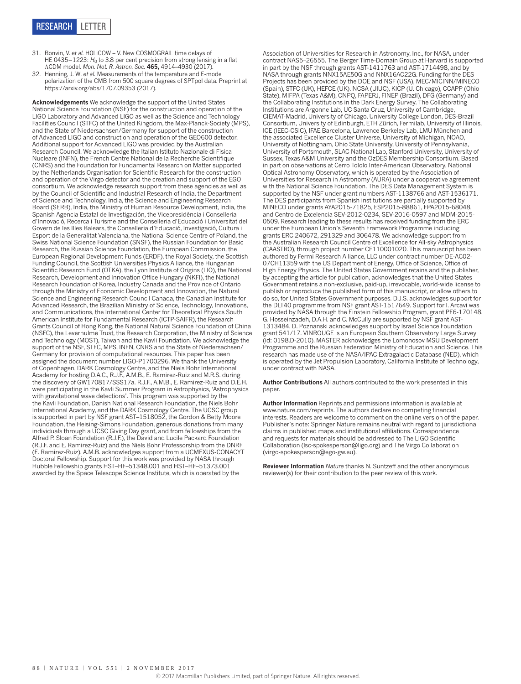- <span id="page-3-0"></span>31. Bonvin, V. *et al.* H0LiCOW – V. New COSMOGRAIL time delays of HE 0435−1223: *H*<sub>0</sub> to 3.8 per cent precision from strong lensing in a flat ΛCDM model. *Mon. Not. R. Astron. Soc.* **465,** 4914–4930 (2017).
- <span id="page-3-1"></span>32. Henning, J. W. *et al.* Measurements of the temperature and E-mode polarization of the CMB from 500 square degrees of SPTpol data. Preprint at <https://arxiv.org/abs/1707.09353>(2017).

**Acknowledgements** We acknowledge the support of the United States National Science Foundation (NSF) for the construction and operation of the LIGO Laboratory and Advanced LIGO as well as the Science and Technology Facilities Council (STFC) of the United Kingdom, the Max-Planck-Society (MPS), and the State of Niedersachsen/Germany for support of the construction of Advanced LIGO and construction and operation of the GEO600 detector. Additional support for Advanced LIGO was provided by the Australian Research Council. We acknowledge the Italian Istituto Nazionale di Fisica Nucleare (INFN), the French Centre National de la Recherche Scientifique (CNRS) and the Foundation for Fundamental Research on Matter supported by the Netherlands Organisation for Scientific Research for the construction and operation of the Virgo detector and the creation and support of the EGO consortium. We acknowledge research support from these agencies as well as by the Council of Scientific and Industrial Research of India, the Department of Science and Technology, India, the Science and Engineering Research Board (SERB), India, the Ministry of Human Resource Development, India, the Spanish Agencia Estatal de Investigación, the Vicepresidència i Conselleria d'Innovació, Recerca i Turisme and the Conselleria d'Educació i Universitat del Govern de les Illes Balears, the Conselleria d'Educació, Investigació, Cultura i Esport de la Generalitat Valenciana, the National Science Centre of Poland, the Swiss National Science Foundation (SNSF), the Russian Foundation for Basic Research, the Russian Science Foundation, the European Commission, the European Regional Development Funds (ERDF), the Royal Society, the Scottish Funding Council, the Scottish Universities Physics Alliance, the Hungarian Scientific Research Fund (OTKA), the Lyon Institute of Origins (LIO), the National Research, Development and Innovation Office Hungary (NKFI), the National Research Foundation of Korea, Industry Canada and the Province of Ontario through the Ministry of Economic Development and Innovation, the Natural Science and Engineering Research Council Canada, the Canadian Institute for Advanced Research, the Brazilian Ministry of Science, Technology, Innovations, and Communications, the International Center for Theoretical Physics South American Institute for Fundamental Research (ICTP-SAIFR), the Research Grants Council of Hong Kong, the National Natural Science Foundation of China (NSFC), the Leverhulme Trust, the Research Corporation, the Ministry of Science and Technology (MOST), Taiwan and the Kavli Foundation. We acknowledge the support of the NSF, STFC, MPS, INFN, CNRS and the State of Niedersachsen/ Germany for provision of computational resources. This paper has been assigned the document number LIGO-P1700296. We thank the University of Copenhagen, DARK Cosmology Centre, and the Niels Bohr International Academy for hosting D.A.C., R.J.F., A.M.B., E. Ramirez-Ruiz and M.R.S. during the discovery of GW170817/SSS17a. R.J.F., A.M.B., E. Ramirez-Ruiz and D.E.H. were participating in the Kavli Summer Program in Astrophysics, 'Astrophysics with gravitational wave detections'. This program was supported by the the Kavli Foundation, Danish National Research Foundation, the Niels Bohr International Academy, and the DARK Cosmology Centre. The UCSC group is supported in part by NSF grant AST–1518052, the Gordon & Betty Moore Foundation, the Heising-Simons Foundation, generous donations from many individuals through a UCSC Giving Day grant, and from fellowships from the Alfred P. Sloan Foundation (R.J.F.), the David and Lucile Packard Foundation (R.J.F. and E. Ramirez-Ruiz) and the Niels Bohr Professorship from the DNRF (E. Ramirez-Ruiz). A.M.B. acknowledges support from a UCMEXUS-CONACYT Doctoral Fellowship. Support for this work was provided by NASA through Hubble Fellowship grants HST–HF–51348.001 and HST–HF–51373.001 awarded by the Space Telescope Science Institute, which is operated by the

Association of Universities for Research in Astronomy, Inc., for NASA, under contract NAS5–26555. The Berger Time-Domain Group at Harvard is supported in part by the NSF through grants AST-1411763 and AST-1714498, and by NASA through grants NNX15AE50G and NNX16AC22G. Funding for the DES Projects has been provided by the DOE and NSF (USA), MEC/MICINN/MINECO (Spain), STFC (UK), HEFCE (UK). NCSA (UIUC), KICP (U. Chicago), CCAPP (Ohio State), MIFPA (Texas A&M), CNPQ, FAPERJ, FINEP (Brazil), DFG (Germany) and the Collaborating Institutions in the Dark Energy Survey. The Collaborating Institutions are Argonne Lab, UC Santa Cruz, University of Cambridge, CIEMAT-Madrid, University of Chicago, University College London, DES-Brazil Consortium, University of Edinburgh, ETH Zürich, Fermilab, University of Illinois, ICE (IEEC-CSIC), IFAE Barcelona, Lawrence Berkeley Lab, LMU München and the associated Excellence Cluster Universe, University of Michigan, NOAO, University of Nottingham, Ohio State University, University of Pennsylvania, University of Portsmouth, SLAC National Lab, Stanford University, University of Sussex, Texas A&M University and the OzDES Membership Consortium. Based in part on observations at Cerro Tololo Inter-American Observatory, National Optical Astronomy Observatory, which is operated by the Association of Universities for Research in Astronomy (AURA) under a cooperative agreement with the National Science Foundation. The DES Data Management System is supported by the NSF under grant numbers AST-1138766 and AST-1536171. The DES participants from Spanish institutions are partially supported by MINECO under grants AYA2015-71825, ESP2015-88861, FPA2015-68048, and Centro de Excelencia SEV-2012-0234, SEV-2016-0597 and MDM-2015- 0509. Research leading to these results has received funding from the ERC under the European Union's Seventh Framework Programme including grants ERC 240672, 291329 and 306478. We acknowledge support from the Australian Research Council Centre of Excellence for All-sky Astrophysics (CAASTRO), through project number CE110001020. This manuscript has been authored by Fermi Research Alliance, LLC under contract number DE-AC02- 07CH11359 with the US Department of Energy, Office of Science, Office of High Energy Physics. The United States Government retains and the publisher, by accepting the article for publication, acknowledges that the United States Government retains a non-exclusive, paid-up, irrevocable, world-wide license to publish or reproduce the published form of this manuscript, or allow others to do so, for United States Government purposes. D.J.S. acknowledges support for the DLT40 programme from NSF grant AST-1517649. Support for I. Arcavi was provided by NASA through the Einstein Fellowship Program, grant PF6-170148. G. Hosseinzadeh, D.A.H. and C. McCully are supported by NSF grant AST-1313484. D. Poznanski acknowledges support by Israel Science Foundation grant 541/17. VINROUGE is an European Southern Observatory Large Survey (id: 0198.D-2010). MASTER acknowledges the Lomonosov MSU Development Programme and the Russian Federation Ministry of Education and Science. This research has made use of the NASA/IPAC Extragalactic Database (NED), which is operated by the Jet Propulsion Laboratory, California Institute of Technology, under contract with NASA.

**Author Contributions** All authors contributed to the work presented in this paper.

**Author Information** Reprints and permissions information is available at [www.nature.com/reprints](http://www.nature.com/reprints). The authors declare no competing financial interests. Readers are welcome to comment on the [online version of the paper.](http://www.nature.com/doifinder/10.1038/nature24471) Publisher's note: Springer Nature remains neutral with regard to jurisdictional claims in published maps and institutional affiliations. Correspondence and requests for materials should be addressed to The LIGO Scientific Collaboration [\(lsc-spokesperson@ligo.org](mailto:lsc-spokesperson@ligo.org)) and The Virgo Collaboration ([virgo-spokesperson@ego-gw.eu\)](mailto:virgo-spokesperson@ego-gw.eu).

**Reviewer Information** *Nature* thanks N. Suntzeff and the other anonymous reviewer(s) for their contribution to the peer review of this work.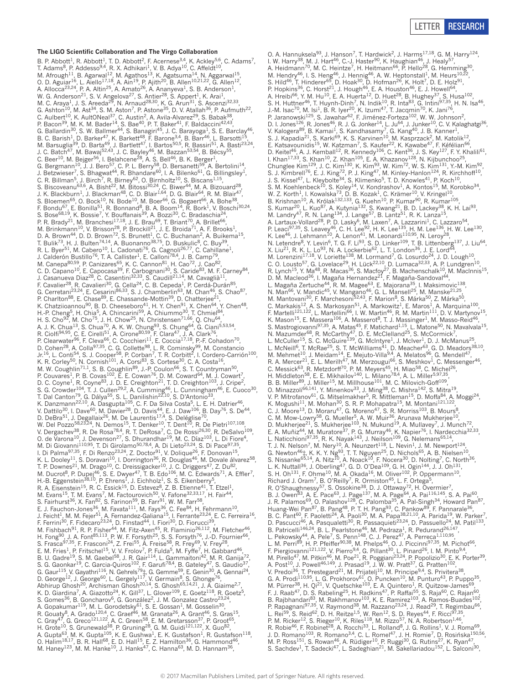## LETTER RESEARCH

### **The LIGO Scientific Collaboration and The Virgo Collaboration**

B. P. Abbott<sup>1</sup>, R. Abbott<sup>1</sup>, T. D. Abbott<sup>2</sup>, F. Acernese<sup>3,4</sup>, K. Ackley<sup>5,6</sup>, C. Adams<sup>7</sup>,<br>T. Adams<sup>8</sup>, P. Addesso<sup>9,4</sup>, R. X. Adhikari<sup>1</sup>, V. B. Adya<sup>10</sup>, C. Affeldt<sup>10</sup>, M. Afrough<sup>11</sup>, B. Agarwal<sup>12</sup>, M. Agathos<sup>13</sup>, K. Agatsuma<sup>14</sup>, N. Aggarwal<sup>15</sup>, O. D. Aguiar<sup>16</sup>, L. Aiello<sup>17,18</sup>, A. Ain<sup>19</sup>, P. Ajith<sup>20</sup>, B. Allen<sup>10,21,22</sup>, G. Allen<sup>12</sup>, A. Allocca<sup>23,24</sup>, P. A. Altin<sup>25</sup>, A. Amato<sup>26</sup>, A. Ananyeva<sup>1</sup>, S. B. Anderson<sup>1</sup>, W. G. Anderson<sup>21</sup>, S. V. Angelova<sup>27</sup>, S. Antier<sup>28</sup>, S. Appert<sup>1</sup>, K. Arai<sup>1</sup>, M. C. Araya<sup>1</sup>, J. S. Areeda<sup>29</sup>, N. Arnaud<sup>28,30</sup>, K. G. Arun<sup>31</sup>, S. Ascenzi<sup>32,33</sup>, G. Ashton<sup>10</sup>, M. Ast<sup>34</sup>, S. M. Aston<sup>7</sup>, P. Astone<sup>35</sup>, D. V. Atallah<sup>36</sup>, P. Aufmuth<sup>22</sup>, C. Aulbert<sup>10</sup>, K. AultONeal<sup>37</sup>, C. Austin<sup>2</sup>, A. Avila-Alvarez<sup>29</sup>, S. Babak<sup>38</sup>, P. Bacon<sup>39</sup>, M. K. M. Bader<sup>14</sup>, S. Bae<sup>40</sup>, P. T. Baker<sup>41</sup>, F. Baldaccini<sup>42,43</sup>, G. Ballardin<sup>30</sup>, S. W. Ballmer<sup>44</sup>, S. Banagiri<sup>45</sup>, J. C. Barayoga<sup>1</sup>, S. E. Barclay<sup>46</sup>, B. C. Barish<sup>1</sup>, D. Barker<sup>47</sup>, K. Barkett<sup>48</sup>, F. Barone<sup>3,4</sup>, B. Barr<sup>46</sup>, L. Barsotti<sup>15</sup>, M. Barsuglia<sup>39</sup>, D. Barta<sup>49</sup>, J. Bartlett<sup>47</sup>, I. Bartos<sup>50,5</sup>, R. Bassiri<sup>51</sup>, A. Basti<sup>23,24</sup>, J. C. Batch<sup>47</sup>, M. Bawaj<sup>52,43</sup>, J. C. Bayley<sup>46</sup>, M. Bazzan<sup>53,54</sup>, B. Bécsy<sup>55</sup>, C. Beer<sup>10</sup>, M. Bejger<sup>56</sup>, I. Belahcene<sup>28</sup>, A. S. Bell<sup>46</sup>, B. K. Berger<sup>1</sup>, G. Bergmann<sup>10</sup>, J. J. Bero<sup>57</sup>, C. P. L. Berry<sup>58</sup>, D. Bersanetti<sup>59</sup>, A. Bertolini<sup>14</sup>, J. Betzwieser<sup>7</sup>, S. Bhagwat<sup>44</sup>, R. Bhandare<sup>60</sup>, I. A. Bilenko<sup>61</sup>, G. Billingsley<sup>1</sup>, C. R. Billman<sup>5</sup>, J. Birch<sup>7</sup>, R. Birney<sup>62</sup>, O. Birnholtz<sup>10</sup>, S. Biscans<sup>1,15</sup>, S. Biscoveanu<sup>63,6</sup>, A. Bisht<sup>22</sup>, M. Bitossi<sup>30,24</sup>, C. Biwer<sup>44</sup>, M. A. Bizouard<sup>28</sup>, J. K. Blackburn<sup>1</sup>, J. Blackman<sup>48</sup>, C. D. Blair<sup>1,64</sup>, D. G. Blair<sup>64</sup>, R. M. Blair<sup>47</sup>, S. Bloemen<sup>65</sup>, O. Bock<sup>10</sup>, N. Bode<sup>10</sup>, M. Boer<sup>66</sup>, G. Bogaert<sup>66</sup>, A. Bohe<sup>38</sup>, F. Bondu<sup>67</sup>, E. Bonilla<sup>51</sup>, R. Bonnand<sup>8</sup>, B. A. Boom<sup>14</sup>, R. Bork<sup>1</sup>, V. Boschi<sup>30,24</sup>, S. Bose<sup>68,19</sup>, K. Bossie<sup>7</sup>, Y. Bouffanais<sup>39</sup>, A. Bozzi<sup>30</sup>, C. Bradaschia<sup>24</sup>, P. R. Brady<sup>21</sup>, M. Branchesi<sup>17,18</sup>, J. E. Brau<sup>69</sup>, T. Briant<sup>70</sup>, A. Brillet<sup>66</sup>, M. Brinkmann<sup>10</sup>, V. Brisson<sup>28</sup>, P. Brockill<sup>21</sup>, J. E. Broida<sup>71</sup>, A. F. Brooks<sup>1</sup>, D. A. Brown<sup>44</sup>, D. D. Brown<sup>72</sup>, S. Brunett<sup>1</sup>, C. C. Buchanan<sup>2</sup>, A. Buikema<sup>15</sup>,<br>T. Bulik<sup>73</sup>, H. J. Bulten<sup>74,14</sup>, A. Buonanno<sup>38,75</sup>, D. Buskulic<sup>8</sup>, C. Buy<sup>39</sup>, R. L. Byer<sup>51</sup>, M. Cabero<sup>10</sup>, L. Cadonati<sup>76</sup>, G. Cagnoli<sup>26,77</sup>, C. Cahillane<sup>1</sup>, J. Calderón Bustillo<sup>76</sup>, T. A. Callister<sup>1</sup>, E. Calloni<sup>78,4</sup>, J. B. Camp<sup>79</sup>, M. Canepa<sup>80,59</sup>, P. Canizares<sup>65</sup>, K. C. Cannon<sup>81</sup>, H. Cao<sup>72</sup>, J. Cao<sup>82</sup>, C. D. Capano<sup>10</sup>, E. Capocasa<sup>39</sup>, F. Carbognani<sup>30</sup>, S. Caride<sup>83</sup>, M. F. Carney<sup>84</sup>, J. Casanueva Diaz<sup>28</sup>, C. Casentini<sup>32,33</sup>, S. Caudill<sup>21,14</sup>, M. Cavaglià<sup>11</sup>, F. Cavalier<sup>28</sup>, R. Cavalieri<sup>30</sup>, G. Cella<sup>24</sup>, C. B. Cepeda<sup>1</sup>, P. Cerdá-Durán<sup>85</sup>, G. Cerretani<sup>23,24</sup>, E. Cesarini<sup>86,33</sup>, S. J. Chamberlin<sup>63</sup>, M. Chan<sup>46</sup>, S. Chao<sup>87</sup>, P. Charlton<sup>88</sup>, E. Chase<sup>89</sup>, E. Chassande-Mottin<sup>39</sup>, D. Chatterjee<sup>21</sup>, K. Chatziioannou<sup>90</sup>, B. D. Cheeseboro<sup>41</sup>, H. Y. Chen<sup>91</sup>, X. Chen<sup>64</sup>, Y. Chen<sup>48</sup>, H.-P. Cheng<sup>5</sup>, H. Chia<sup>5</sup>, A. Chincarini<sup>59</sup>, A. Chiummo<sup>30</sup>, T. Chmiel<sup>84</sup>, H. S. Cho<sup>92</sup>, M. Cho<sup>75</sup>, J. H. Chow<sup>25</sup>, N. Christensen<sup>71,66</sup>, Q. Chu<sup>64</sup>, A. J. K. Chua<sup>13</sup>, S. Chua<sup>70</sup>, A. K. W. Chung<sup>93</sup>, S. Chung<sup>64</sup>, G. Ciani<sup>5,53,54</sup>, R. Ciolfi<sup>94,95</sup>, C. E. Cirelli<sup>51</sup>, A. Cirone<sup>80,59</sup>, F. Clara<sup>47</sup>, J. A. Clark<sup>76</sup>, P. Clearwater<sup>96</sup>, F. Cleva<sup>66</sup>, C. Cocchieri<sup>11</sup>, E. Coccia<sup>17,18</sup>, P.-F. Cohadon<sup>70</sup>, D. Cohen<sup>28</sup>, A. Colla<sup>97,35</sup>, C. G. Collette<sup>98</sup>, L. R. Cominsky<sup>99</sup>, M. Constancio Jr.<sup>16</sup>, L. Conti<sup>54</sup>, S. J. Cooper<sup>58</sup>, P. Corban<sup>7</sup>, T. R. Corbitt<sup>2</sup>, I. Cordero-Carrión<sup>100</sup>, K. R. Corley<sup>50</sup>, N. Cornish<sup>101</sup>, A. Corsi<sup>83</sup>, S. Cortese<sup>30</sup>, C. A. Costa<sup>16</sup>, M. W. Coughlin<sup>71,1</sup>, S. B. Coughlin<sup>89</sup>, J.-P. Coulon<sup>66</sup>, S. T. Countryman<sup>50</sup>, P. Couvares<sup>1</sup>, P. B. Covas<sup>102</sup>, E. E. Cowan<sup>76</sup>, D. M. Coward<sup>64</sup>, M. J. Cowart<sup>7</sup>, D. C. Coyne<sup>1</sup>, R. Coyne<sup>83</sup>, J. D. E. Creighton<sup>21</sup>, T. D. Creighton<sup>103</sup>, J. Cripe<sup>2</sup>, S. G. Crowder<sup>104</sup>, T. J. Cullen<sup>29,2</sup>, A. Cumming<sup>46</sup>, L. Cunningham<sup>46</sup>, E. Cuoco<sup>30</sup>, T. Dal Canton<sup>79</sup>, G. Dálya<sup>55</sup>, S. L. Danilishin<sup>22,10</sup>, S. D'Antonio<sup>33</sup>, K. Danzmann<sup>22,10</sup>, A. Dasgupta<sup>105</sup>, C. F. Da Silva Costa<sup>5</sup>, L. E. H. Datrier<sup>46</sup>, V. Dattilo<sup>30</sup>, I. Dave<sup>60</sup>, M. Davier<sup>28</sup>, D. Davis<sup>44</sup>, E. J. Daw<sup>106</sup>, B. Day<sup>76</sup>, S. De<sup>44</sup>, D. DeBra<sup>51</sup>, J. Degallaix<sup>26</sup>, M. De Laurentis<sup>17,4</sup>, S. Deléglise<sup>70</sup>, W. Del Pozzo $^{58,23,24}$ , N. Demos $^{15}$ , T. Denker $^{10}$ , T. Dent $^{10}$ , R. De Pietri $^{107,108}$ , V. Dergachev<sup>38</sup>, R. De Rosa<sup>78,4</sup>, R. T. DeRosa<sup>7</sup>, C. De Rossi<sup>26,30</sup>, R. DeSalvo<sup>109</sup>, O. de Varona<sup>10</sup>, J. Devenson<sup>27</sup>, S. Dhurandhar<sup>19</sup>, M. C. Díaz<sup>103</sup>, L. Di Fiore<sup>4</sup>, M. Di Giovanni<sup>110,95</sup>, T. Di Girolamo<sup>50,78,4</sup>, A. Di Lieto<sup>23,24</sup>, S. Di Pace<sup>97,35</sup>, I. Di Palma<sup>97,35</sup>, F. Di Renzo<sup>23,24</sup>, Z. Doctor<sup>91</sup>, V. Dolique<sup>26</sup>, F. Donovan<sup>15</sup>,<br>K. L. Dooley<sup>11</sup>, S. Doravari<sup>10</sup>, I. Dorrington<sup>36</sup>, R. Douglas<sup>46</sup>, M. Dovale álvarez<sup>58</sup>, T. P. Downes<sup>21</sup>, M. Drago<sup>10</sup>, C. Dreissigacker<sup>10</sup>, J. C. Driggers<sup>47</sup>, Z. Du<sup>82</sup>, M. Ducrot<sup>8</sup>, P. Dupej<sup>46</sup>, S. E. Dwyer<sup>47</sup>, T. B. Edo<sup>106</sup>, M. C. Edwards<sup>71</sup>, A. Effler<sup>7</sup>, H.-B. Eggenstein<sup>38,10</sup>, P. Ehrens<sup>1</sup>, J. Eichholz<sup>1</sup>, S. S. Eikenberry<sup>5</sup>, R. A. Eisenstein<sup>15</sup>, R. C. Essick<sup>15</sup>, D. Estevez<sup>8</sup>, Z. B. Etienne<sup>41</sup>, T. Etzel<sup>1</sup>, M. Evans<sup>15</sup>, T. M. Evans<sup>7</sup>, M. Factourovich<sup>50</sup>, V. Fafone<sup>32,33,17</sup>, H. Fair<sup>44</sup>, S. Fairhurst<sup>36</sup>, X. Fan<sup>82</sup>, S. Farinon<sup>59</sup>, B. Farr<sup>91</sup>, W. M. Farr<sup>58</sup>, E. J. Fauchon-Jones<sup>36</sup>, M. Favata<sup>111</sup>, M. Fays<sup>36</sup>, C. Fee<sup>84</sup>, H. Fehrmann<sup>10</sup>, J. Feicht<sup>1</sup>, M. M. Fejer<sup>51</sup>, A. Fernandez-Galiana<sup>15</sup>, I. Ferrante<sup>23,24</sup>, E. C. Ferreira<sup>16</sup>, F. Ferrini<sup>30</sup>, F. Fidecaro<sup>23,24</sup>, D. Finstad<sup>44</sup>, I. Fiori<sup>30</sup>, D. Fiorucci<sup>39</sup>, M. Fishbach<sup>91</sup>, R. P. Fisher<sup>44</sup>, M. Fitz-Axen<sup>45</sup>, R. Flaminio<sup>26,112</sup>, M. Fletcher<sup>46</sup>, H. Fong<sup>90</sup>, J. A. Font<sup>85,113</sup>, P. W. F. Forsyth<sup>25</sup>, S. S. Forsyth<sup>76</sup>, J.-D. Fournier<sup>66</sup>, S. Frasca<sup>97,35</sup>, F. Frasconi<sup>24</sup>, Z. Frei<sup>55</sup>, A. Freise<sup>58</sup>, R. Frey<sup>69</sup>, V. Frey<sup>28</sup>, E. M. Fries<sup>1</sup>, P. Fritschel<sup>15</sup>, V. V. Frolov<sup>7</sup>, P. Fulda<sup>5</sup>, M. Fyffe<sup>7</sup>, H. Gabbard<sup>46</sup>, B. U. Gadre<sup>19</sup>, S. M. Gaebel<sup>58</sup>, J. R. Gair<sup>114</sup>, L. Gammaitoni<sup>42</sup>, M. R. Ganija<sup>72</sup>, S. G. Gaonkar<sup>19</sup>, C. Garcia-Quiros<sup>102</sup>, F. Garufi<sup>78,4</sup>, B. Gateley<sup>47</sup>, S. Gaudio<sup>37</sup>,<br>G. Gaur<sup>115</sup>, V. Gayathri<sup>116</sup>, N. Gehrels<sup>79</sup>‡, G. Gemme<sup>59</sup>, E. Genin<sup>30</sup>, A. Gennai<sup>24</sup>, D. George<sup>12</sup>, J. George<sup>60</sup>, L. Gergely<sup>117</sup>, V. Germain<sup>8</sup>, S. Ghonge<sup>76</sup>, Abhirup Ghosh<sup>20</sup>, Archisman Ghosh<sup>20,14</sup>, S. Ghosh<sup>65,14,21</sup>, J. A. Giaime<sup>2,7</sup>, K. D. Giardina<sup>7</sup>, A. Giazotto<sup>24</sup>, K. Gill<sup>37</sup>, L. Glover<sup>109</sup>, E. Goetz<sup>118</sup>, R. Goetz<sup>5</sup>, S. Gomes<sup>36</sup>, B. Goncharov<sup>6</sup>, G. González<sup>2</sup>, J. M. Gonzalez Castro<sup>23,24</sup>, A. Gopakumar<sup>119</sup>, M. L. Gorodetsky<sup>61</sup>, S. E. Gossan<sup>1</sup>, M. Gosselin<sup>30</sup>, R. Gouaty<sup>8</sup>, A. Grado<sup>120,4</sup>, C. Graef<sup>46</sup>, M. Granata<sup>26</sup>, A. Grant<sup>46</sup>, S. Gras<sup>15</sup>, C. Gray<sup>47</sup>, G. Greco<sup>121,122</sup>, A. C. Green<sup>58</sup>, E. M. Gretarsson<sup>37</sup>, P. Groot<sup>65</sup>, H. Grote<sup>10</sup>, S. Grunewald<sup>38</sup>, P. Gruning<sup>28</sup>, G. M. Guidi<sup>121,122</sup>, X. Guo<sup>82</sup>,<br>A. Gupta<sup>63</sup>, M. K. Gupta<sup>105</sup>, K. E. Gushwa<sup>1</sup>, E. K. Gustafson<sup>1</sup>, R. Gustafson<sup>118</sup>,<br>O. Halim<sup>18,17</sup>, B. R. Hall<sup>68</sup>, E. D. Hall<sup>15</sup>, E. M. Haney<sup>123</sup>, M. M. Hanke<sup>10</sup>, J. Hanks<sup>47</sup>, C. Hanna<sup>63</sup>, M. D. Hannam<sup>36</sup>,

O. A. Hannuksela<sup>93</sup>, J. Hanson<sup>7</sup>, T. Hardwick<sup>2</sup>, J. Harms<sup>17,18</sup>, G. M. Harry<sup>124</sup>, I. W. Harry<sup>38</sup>, M. J. Hart<sup>46</sup>, C.-J. Haster<sup>90</sup>, K. Haughian<sup>46</sup>, J. Healy<sup>57</sup>, A. Heidmann<sup>70</sup>, M. C. Heintze<sup>7</sup>, H. Heitmann<sup>66</sup>, P. Hello<sup>28</sup>, G. Hemming<sup>30</sup>, M. Hendry<sup>46</sup>, I. S. Heng<sup>46</sup>, J. Hennig<sup>46</sup>, A. W. Heptonstall<sup>1</sup>, M. Heurs<sup>10,22</sup>, S. Hild<sup>46</sup>, T. Hinderer<sup>65</sup>, D. Hoak<sup>30</sup>, D. Hofman<sup>26</sup>, K. Holt<sup>7</sup>, D. E. Holz<sup>91</sup>, P. Hopkins<sup>36</sup>, C. Horst<sup>21</sup>, J. Hough<sup>46</sup>, E. A. Houston<sup>46</sup>, E. J. Howell<sup>64</sup>, A. Hreibi<sup>66</sup>, Y. M. Hu<sup>10</sup>, E. A. Huerta<sup>12</sup>, D. Huet<sup>28</sup>, B. Hughey<sup>37</sup>, S. Husa<sup>102</sup>, S. H. Huttner<sup>46</sup>, T. Huynh-Dinh<sup>7</sup>, N. Indik<sup>10</sup>, R. Inta<sup>83</sup>, G. Intini<sup>97,35</sup>, H. N. Isa<sup>46</sup>, J.-M. Isac<sup>70</sup>, M. Isi<sup>1</sup>, B. R. Iyer<sup>20</sup>, K. Izumi<sup>47</sup>, T. Jacqmin<sup>70</sup>, K. Jani<sup>76</sup>, P. Jaranowski<sup>125</sup>, S. Jawahar<sup>62</sup>, F. Jiménez-Forteza<sup>102</sup>, W. W. Johnson<sup>2</sup>, D. I. Jones<sup>126</sup>, R. Jones<sup>46</sup>, R. J. G. Jonker<sup>14</sup>, L. Ju<sup>64</sup>, J. Junker<sup>10</sup>, C. V. Kalaghatgi<sup>36</sup>, V. Kalogera<sup>89</sup>, B. Kamai<sup>1</sup>, S. Kandhasamy<sup>7</sup>, G. Kang<sup>40</sup>, J. B. Kanner<sup>1</sup>, S. J. Kapadia<sup>21</sup>, S. Karki<sup>69</sup>, K. S. Karvinen<sup>10</sup>, M. Kasprzack<sup>2</sup>, M. Katolik<sup>12</sup>, E. Katsavounidis<sup>15</sup>, W. Katzman<sup>7</sup>, S. Kaufer<sup>22</sup>, K. Kawabe<sup>47</sup>, F. Kéfélian<sup>66</sup>, D. Keitel<sup>46</sup>, A. J. Kemball<sup>12</sup>, R. Kennedy<sup>106</sup>, C. Kent<sup>36</sup>, J. S. Key<sup>127</sup>, F. Y. Khalili<sup>61</sup>, I. Khan<sup>17,33</sup>, S. Khan<sup>10</sup>, Z. Khan<sup>105</sup>, E. A. Khazanov<sup>128</sup>, N. Kijbunchoo<sup>25</sup>, Chunglee Kim<sup>129</sup>, J. C. Kim<sup>130</sup>, K. Kim<sup>93</sup>, W. Kim<sup>72</sup>, W. S. Kim<sup>131</sup>, Y.-M. Kim<sup>92</sup>, S. J. Kimbrell<sup>76</sup>, E. J. King<sup>72</sup>, P. J. King<sup>47</sup>, M. Kinley-Hanlon<sup>124</sup>, R. Kirchhoff<sup>10</sup>, J. S. Kissel<sup>47</sup>, L. Kleybolte<sup>34</sup>, S. Klimenko<sup>5</sup>, T. D. Knowles<sup>41</sup>, P. Koch<sup>10</sup>, S. M. Koehlenbeck<sup>10</sup>, S. Koley<sup>14</sup>, V. Kondrashov<sup>1</sup>, A. Kontos<sup>15</sup>, M. Korobko<sup>34</sup>, W. Z. Korth<sup>1</sup>, I. Kowalska<sup>73</sup>, D. B. Kozak<sup>1</sup>, C. Krämer<sup>10</sup>, V. Kringel<sup>10</sup>, B. Krishnan<sup>10</sup>, A. Królak<sup>132,133</sup>, G. Kuehn<sup>10</sup>, P. Kumar<sup>90</sup>, R. Kumar<sup>105</sup>, S. Kumar<sup>20</sup>, L. Kuo<sup>87</sup>, A. Kutynia<sup>132</sup>, S. Kwang<sup>21</sup>, B. D. Lackey<sup>38</sup>, K. H. Lai<sup>93</sup>, M. Landry<sup>47</sup>, R. N. Lang<sup>134</sup>, J. Lange<sup>57</sup>, B. Lantz<sup>51</sup>, R. K. Lanza<sup>15</sup>, A. Lartaux-Vollard<sup>28</sup>, P. D. Lasky<sup>6</sup>, M. Laxen<sup>7</sup>, A. Lazzarini<sup>1</sup>, C. Lazzaro<sup>54</sup>, P. Leaci<sup>97,35</sup>, S. Leavey<sup>46</sup>, C. H. Lee<sup>92</sup>, H. K. Lee<sup>135</sup>, H. M. Lee<sup>136</sup>, H. W. Lee<sup>130</sup>, K. Lee<sup>46</sup>, J. Lehmann<sup>10</sup>, A. Lenon<sup>41</sup>, M. Leonardi<sup>110,95</sup>, N. Leroy<sup>28</sup>,<br>N. Letendre<sup>8</sup>, Y. Levin<sup>6</sup>, T. G. F. Li<sup>93</sup>, S. D. Linker<sup>109</sup>, T. B. Littenberg<sup>137</sup>, J. Liu<sup>64</sup>, X. Liu<sup>21</sup>, R. K. L. Lo<sup>93</sup>, N. A. Lockerbie<sup>62</sup>, L. T. London<sup>36</sup>, J. E. Lord<sup>44</sup>, M. Lorenzini<sup>17,18</sup>, V. Loriette<sup>138</sup>, M. Lormand<sup>7</sup>, G. Losurdo<sup>24</sup>, J. D. Lough<sup>10</sup>, C. O. Lousto<sup>57</sup>, G. Lovelace<sup>29</sup>, H. Lück<sup>22,10</sup>, D. Lumaca<sup>32,33</sup>, A. P. Lundgren<sup>10</sup>, R. Lynch<sup>15</sup>, Y. Ma<sup>48</sup>, R. Macas<sup>36</sup>, S. Macfoy<sup>27</sup>, B. Machenschalk<sup>10</sup>, M. MacInnis<sup>15</sup>, D. M. Macleod<sup>36</sup>, I. Magaña Hernandez<sup>21</sup>, F. Magaña-Sandoval<sup>44</sup>, L. Magaña Zertuche<sup>44</sup>, R. M. Magee<sup>63</sup>, E. Majorana<sup>35</sup>, I. Maksimovic<sup>138</sup>, N. Man<sup>66</sup>, V. Mandic<sup>45</sup>, V. Mangano<sup>46</sup>, G. L. Mansell<sup>25</sup>, M. Manske<sup>21,25</sup>, M. Mantovani<sup>30</sup>, F. Marchesoni<sup>52,43</sup>, F. Marion<sup>8</sup>, S. Márka<sup>50</sup>, Z. Márka<sup>50</sup>, W. Wall 1, W. Mall Noval H. Markosyan<sup>51</sup>, S. Marion<sup>8</sup>, S. Márka<sup>50</sup>, Z. Márka<sup>50</sup>, A. Marquina<sup>100</sup>, C. Markakis<sup>12</sup>, A. S. Markosyan<sup>51</sup>, A. Markowitz<sup>1</sup>, E. Maros<sup>1</sup>, A. Marquina<sup>100</sup>, F. Martelli<sup>121,122</sup>, L. Martell F. Martelli<sup>121,122</sup>, L. Martellini<sup>66</sup>, I. W. Martin<sup>46</sup>, R. M. Martin<sup>111</sup>, D. V. Martynov<sup>15</sup>, K. Mason<sup>15</sup>, E. Massera<sup>106</sup>, A. Masserot<sup>8</sup>, T. J. Massinger<sup>1</sup>, M. Masso-Reid<sup>46</sup>, S. Mastrogiovanni<sup>97,35</sup>, A. Matas<sup>45</sup>, F. Matichard<sup>1,15</sup>, L. Matone<sup>50</sup>, N. Mavalvala<sup>15</sup>, N. Mazumder<sup>68</sup>, R. McCarthy<sup>47</sup>, D. E. McClelland<sup>25</sup>, S. McCormick<sup>7</sup>, L. McCuller<sup>15</sup>, S. C. McGuire<sup>139</sup>, G. McIntyre<sup>1</sup>, J. McIver<sup>1</sup>, D. J. McManus<sup>25</sup>, L. McNeill<sup>6</sup>, T. McRae<sup>25</sup>, S. T. McWilliams<sup>41</sup>, D. Meacher<sup>63</sup>, G. D. Meadors<sup>38,10</sup>, M. Mehmet<sup>10</sup>, J. Meidam<sup>14</sup>, E. Mejuto-Villa<sup>9,4</sup>, A. Melatos<sup>96</sup>, G. Mendell<sup>47</sup>, R. A. Mercer<sup>21</sup>, E. L. Merilh<sup>47</sup>, M. Merzougui<sup>66</sup>, S. Meshkov<sup>1</sup>, C. Messenger<sup>46</sup>, C. Messick<sup>63</sup>, R. Metzdorff<sup>70</sup>, P. M. Meyers<sup>45</sup>, H. Miao<sup>58</sup>, C. Michel<sup>26</sup>, H. Middleton<sup>58</sup>, E. E. Mikhailov<sup>140</sup>, L. Milano<sup>78,4</sup>, A. L. Miller<sup>5,97,35</sup>, B. B. Miller<sup>89</sup>, J. Miller<sup>15</sup>, M. Millhouse<sup>101</sup>, M. C. Milovich-Goff<sup>109</sup>, O. Minazzoli<sup>66,141</sup>, Y. Minenkov<sup>33</sup>, J. Ming<sup>38</sup>, C. Mishra<sup>142</sup>, S. Mitra<sup>19</sup>, V. P. Mitrofanov<sup>61</sup>, G. Mitselmakher<sup>5</sup>, R. Mittleman<sup>15</sup>, D. Moffa<sup>84</sup>, A. Moggi<sup>24</sup>, K. Mogushi<sup>11</sup>, M. Mohan<sup>30</sup>, S. R. P. Mohapatra<sup>15</sup>, M. Montani<sup>121</sup>, 122, K. Mogushi<sup>11</sup>, M. Mohana<sup>17</sup>, G. R. Moreno<sup>47</sup>, S. R. Morriss<sup>103</sup>, B. Mours<sup>8</sup>, C. M. Mow-Lown<sup>58</sup>, G. Mueller<sup>5</sup>, A. W. Muir<sup>36</sup>, Arunava Mukh C. J. Moore<sup>13</sup>, D. Moraru<sup>47</sup>, G. Moreno<sup>47</sup>, S. R. Morriss<sup>103</sup>, B. Mours<sup>8</sup>, C. M. Mow-Lowry<sup>58</sup>, G. Mueller<sup>5</sup>, A. W. Muir<sup>36</sup>, Arunava Mukherjee<sup>10</sup>, D. Mukherjee<sup>21</sup>, S. Mukherjee<sup>103</sup>, N. Mukund<sup>19</sup>, A. Mullavey<sup>7</sup>, J. Munch<sup>72</sup>, E. A. Muñiz<sup>44</sup>, M. Muratore<sup>37</sup>, P. G. Murray<sup>46</sup>, K. Napier<sup>76</sup>, I. Nardecchia<sup>32,33</sup>, L. Naticchioni<sup>97,35</sup>, R. K. Nayak<sup>143</sup>, J. Neilson<sup>109</sup>, G. Nelemans<sup>65,14</sup>, T. J. N. Nelson<sup>7</sup>, M. Nery<sup>10</sup>, A. Neunzert<sup>118</sup>, L. Nevin<sup>1</sup>, J. M. Newport<sup>124</sup>, G. Newton<sup>46</sup>‡, K. K. Y. Ng<sup>93</sup>, T. T. Nguyen<sup>25</sup>, D. Nichols<sup>65</sup>, A. B. Nielsen<sup>10</sup>,<br>S. Nissanke<sup>65,14</sup>, A. Nitz<sup>10</sup>, A. Noack<sup>10</sup>, F. Nocera<sup>30</sup>, D. Nolting<sup>7</sup>, C. North<sup>36</sup>,<br>L. K. Nuttall<sup>36</sup>, J. Oberling<sup>47</sup>, G. D. O'D S. H. Oh<sup>131</sup>, F. Ohme<sup>10</sup>, M. A. Okada<sup>16</sup>, M. Oliver<sup>102</sup>, P. Oppermann<sup>10</sup>, Richard J. Oram<sup>7</sup>, B. O'Reilly<sup>7</sup>, R. Ormiston<sup>45</sup>, L. F. Ortega<sup>5</sup>, R. O'Shaughnessy<sup>57</sup>, S. Ossokine<sup>38</sup>, D. J. Ottaway<sup>72</sup>, H. Overmier<sup>7</sup>, B. J. Owen<sup>83</sup>, A. E. Pace<sup>63</sup>, J. Page<sup>137</sup>, M. A. Page<sup>64</sup>, A. Pai<sup>116,145</sup>, S. A. Pai<sup>60</sup>, J. R. Palamos<sup>69</sup>, O. Palashov<sup>128</sup>, C. Palomba<sup>35</sup>, A. Pal-Singh<sup>34</sup>, Howard Pan<sup>87</sup>, Huang-Wei Pan<sup>87</sup>, B. Pang<sup>48</sup>, P. T. H. Pang<sup>93</sup>, C. Pankow<sup>89</sup>, F. Pannarale<sup>36</sup>, B. C. Pant<sup>60</sup>, F. Paoletti<sup>24</sup>, A. Paoli<sup>30</sup>, M. A. Papa<sup>38,21,10</sup>, A. Parida<sup>19</sup>, W. Parker<sup>7</sup>, D. Pascucci<sup>46</sup>, A. Pasqualetti<sup>30</sup>, R. Passaquieti<sup>23,24</sup>, D. Passuello<sup>24</sup>, M. Patil<sup>133</sup>, B. Patricelli<sup>146,24</sup>, B. L. Pearlstone<sup>46</sup>, M. Pedraza<sup>1</sup>, R. Pedurand<sup>26,147</sup>, L. Pekowsky<sup>44</sup>, A. Pele<sup>7</sup>, S. Penn<sup>148</sup>, C. J. Perez<sup>47</sup>, A. Perreca<sup>1,110,95</sup>, L. M. Perri<sup>89</sup>, H. P. Pfeiffer<sup>90,38</sup>, M. Phelps<sup>46</sup>, O. J. Piccinni<sup>97,35</sup>, M. Pichot<sup>66</sup>, F. Piergiovanni<sup>121,122</sup>, V. Pierro<sup>9,4</sup>, G. Pillant<sup>30</sup>, L. Pinard<sup>26</sup>, I. M. Pinto<sup>9,4</sup>, M. Pirello<sup>47</sup>, M. Pitkin<sup>46</sup>, M. Poe<sup>21</sup>, R. Poggiani<sup>23,24</sup>, P. Popolizio<sup>30</sup>, E. K. Porter<sup>39</sup>, A. Post<sup>10</sup>, J. Powell<sup>46,149</sup>, J. Prasad<sup>19</sup>, J. W. W. Pratt<sup>37</sup>, G. Pratten<sup>102</sup>,<br>V. Predoi<sup>36</sup>, T. Prestegard<sup>21</sup>, M. Prijatelj<sup>10</sup>, M. Principe<sup>9,4</sup>, S. Privitera<sup>38</sup>, G. A. Prodi<sup>110,95</sup>, L. G. Prokhorov<sup>61</sup>, O. Puncken<sup>10</sup>, M. Punturo<sup>43</sup>, P. Puppo<sup>35</sup>, M. Pürrer<sup>38</sup>, H. Qi<sup>21</sup>, V. Quetschke<sup>103</sup>, E. A. Quintero<sup>1</sup>, R. Quitzow-James<sup>69</sup>, F. J. Raab<sup>47</sup>, D. S. Rabeling<sup>25</sup>, H. Radkins<sup>47</sup>, P. Raffai<sup>55</sup>, S. Raja<sup>60</sup>, C. Rajan<sup>60</sup>, B. Rajbhandari<sup>83</sup>, M. Rakhmanov<sup>103</sup>, K. E. Ramirez<sup>103</sup>, A. Ramos-Buades<sup>102</sup>, P. Rapagnani<sup>97,35</sup>, V. Raymond<sup>38</sup>, M. Razzano<sup>23,24</sup>, J. Read<sup>29</sup>, T. Regimbau<sup>66</sup>, L. Rei<sup>59</sup>, S. Reid<sup>62</sup>, D. H. Reitze<sup>1,5</sup>, W. Ren<sup>12</sup>, S. D. Reyes<sup>44</sup>, F. Ricci<sup>97,35</sup>, P. M. Ricker<sup>12</sup>, S. Rieger<sup>10</sup>, K. Riles<sup>118</sup>, M. Rizzo<sup>57</sup>, N. A. Robertson<sup>1,46</sup>, R. Robie<sup>46</sup>, F. Robinet<sup>28</sup>, A. Rocchi<sup>33</sup>, L. Rolland<sup>8</sup>, J. G. Rollins<sup>1</sup>, V. J. Roma<sup>69</sup>,<br>J. D. Romano<sup>103</sup>, R. Romano<sup>3,4</sup>, C. L. Romel<sup>47</sup>, J. H. Romie<sup>7</sup>, D. Rosińska<sup>150,56</sup>, M. P. Ross<sup>151</sup>, S. Rowan<sup>46</sup>, A. Rüdiger<sup>10</sup>, P. Ruggi<sup>30</sup>, G. Rutins<sup>27</sup>, K. Ryan<sup>47</sup>, S. Sachdev<sup>1</sup>, T. Sadecki<sup>47</sup>, L. Sadeghian<sup>21</sup>, M. Sakellariadou<sup>152</sup>, L. Salconi<sup>30</sup>,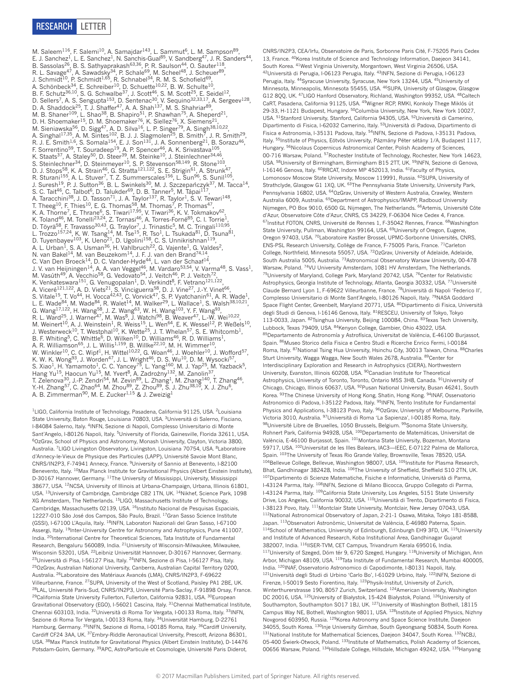## RESEARCH Letter

M. Saleem<sup>116</sup>, F. Salemi<sup>10</sup>, A. Samajdar<sup>143</sup>, L. Sammut<sup>6</sup>, L. M. Sampson<sup>89</sup>, E. J. Sanchez<sup>1</sup>, L. E. Sanchez<sup>1</sup>, N. Sanchis-Gual<sup>85</sup>, V. Sandberg<sup>47</sup>, J. R. Sanders<sup>44</sup>, B. Sassolas<sup>26</sup>, B. S. Sathyaprakash<sup>63,36</sup>, P. R. Saulson<sup>44</sup>, O. Sauter<sup>118</sup>, R. L. Savage<sup>47</sup>, A. Sawadsky<sup>34</sup>, P. Schale<sup>69</sup>, M. Scheel<sup>48</sup>, J. Scheuer<sup>89</sup>, J. Schmidt<sup>10</sup>, P. Schmidt<sup>1,65</sup>, R. Schnabel<sup>34</sup>, R. M. S. Schofield<sup>69</sup>, A. Schönbeck<sup>34</sup>, E. Schreiber<sup>10</sup>, D. Schuette<sup>10,22</sup>, B. W. Schulte<sup>10</sup>, B. F. Schutz<sup>36,10</sup>, S. G. Schwalbe<sup>37</sup>, J. Scott<sup>46</sup>, S. M. Scott<sup>25</sup>, E. Seidel<sup>12</sup>, D. Sellers<sup>7</sup>, A. S. Sengupta<sup>153</sup>, D. Sentenac<sup>30</sup>, V. Sequino<sup>32,33,17</sup>, A. Sergeev<sup>128</sup>, D. A. Shaddock<sup>25</sup>, T. J. Shaffer<sup>47</sup>, A. A. Shah<sup>137</sup>, M. S. Shahriar<sup>89</sup>, M. B. Shaner<sup>109</sup>, L. Shao<sup>38</sup>, B. Shapiro<sup>51</sup>, P. Shawhan<sup>75</sup>, A. Sheperd<sup>21</sup>, D. H. Shoemaker<sup>15</sup>, D. M. Shoemaker<sup>76</sup>, K. Siellez<sup>76</sup>, X. Siemens<sup>21</sup>, M. Sieniawska<sup>56</sup>, D. Sigg<sup>47</sup>, A. D. Silva<sup>16</sup>, L. P. Singer<sup>79</sup>, A. Singh<sup>38,10,22</sup>, A. Singhal<sup>17,35</sup>, A. M. Sintes<sup>102</sup>, B. J. J. Slagmolen<sup>25</sup>, B. Smith<sup>7</sup>, J. R. Smith<sup>29</sup>, R. J. E. Smith<sup>1,6</sup>, S. Somala<sup>154</sup>, E. J. Son<sup>131</sup>, J. A. Sonnenberg<sup>21</sup>, B. Sorazu<sup>46</sup>, F. Sorrentino<sup>59</sup>, T. Souradeep<sup>19</sup>, A. P. Spencer<sup>46</sup>, A. K. Srivastava<sup>105</sup>, K. Staats<sup>37</sup>, A. Staley<sup>50</sup>, D. Steer<sup>39</sup>, M. Steinke<sup>10</sup>, J. Steinlechner<sup>34,46</sup>, S. Steinlechner<sup>34</sup>, D. Steinmeyer<sup>10</sup>, S. P. Stevenson<sup>58,149</sup>, R. Stone<sup>103</sup>, D. J. Stops<sup>58</sup>, K. A. Strain<sup>46</sup>, G. Stratta<sup>121,122</sup>, S. E. Strigin<sup>61</sup>, A. Strunk<sup>47</sup>, R. Sturani<sup>155</sup>, A. L. Stuver<sup>7</sup>, T. Z. Summerscales<sup>156</sup>, L. Sun<sup>96</sup>, S. Sunil<sup>105</sup>, J. Suresh<sup>19</sup>, P. J. Sutton<sup>36</sup>, B. L. Swinkels<sup>30</sup>, M. J. Szczepańczyk<sup>37</sup>, M. Tacca<sup>14</sup>, S. C. Tait<sup>46</sup>, C. Talbot<sup>6</sup>, D. Talukder<sup>69</sup>, D. B. Tanner<sup>5</sup>, M. Tápai<sup>117</sup>, A. Taracchini<sup>38</sup>, J. D. Tasson<sup>71</sup>, J. A. Taylor<sup>137</sup>, R. Taylor<sup>1</sup>, S. V. Tewari<sup>148</sup>, T. Theeg<sup>10</sup>, F. Thies<sup>10</sup>, E. G. Thomas<sup>58</sup>, M. Thomas<sup>7</sup>, P. Thomas<sup>47</sup>, K. A. Thorne<sup>7</sup>, E. Thrane<sup>6</sup>, S. Tiwari<sup>17,95</sup>, V. Tiwari<sup>36</sup>, K. V. Tokmakov<sup>62</sup>, K. Toland<sup>46</sup>, M. Tonelli<sup>23,24</sup>, Z. Tornasi<sup>46</sup>, A. Torres-Forné<sup>85</sup>, C. I. Torrie<sup>1</sup>, D. Töyrä<sup>58</sup>, F. Travasso<sup>30,43</sup>, G. Traylor<sup>7</sup>, J. Trinastic<sup>5</sup>, M. C. Tringali<sup>110,95</sup>, L. Trozzo<sup>157,24</sup>, K. W. Tsang<sup>14</sup>, M. Tse<sup>15</sup>, R. Tso<sup>1</sup>, L. Tsukada<sup>81</sup>, D. Tsuna<sup>81</sup>, D. Tuyenbayev<sup>103</sup>, K. Ueno<sup>21</sup>, D. Ugolini<sup>158</sup>, C. S. Unnikrishnan<sup>119</sup>, A. L. Urban<sup>1</sup>, S. A. Usman<sup>36</sup>, H. Vahlbruch<sup>22</sup>, G. Vajente<sup>1</sup>, G. Valdes<sup>2</sup>, N. van Bakel<sup>14</sup>, M. van Beuzekom<sup>14</sup>, J. F. J. van den Brand<sup>74,14</sup>, C. Van Den Broeck<sup>14</sup>, D. C. Vander-Hyde<sup>44</sup>, L. van der Schaaf<sup>14</sup>, J. V. van Heijningen<sup>14</sup>, A. A. van Veggel<sup>46</sup>, M. Vardaro<sup>53,54</sup>, V. Varma<sup>48</sup>, S. Vass<sup>1</sup>, M. Vasúth<sup>49</sup>, A. Vecchio<sup>58</sup>, G. Vedovato<sup>54</sup>, J. Veitch<sup>46</sup>, P. J. Veitch<sup>72</sup>, K. Venkateswara<sup>151</sup>, G. Venugopalan<sup>1</sup>, D. Verkindt<sup>8</sup>, F. Vetrano<sup>121,122</sup> A. Viceré<sup>121,122</sup>, A. D. Viets<sup>21</sup>, S. Vinciguerra<sup>58</sup>, D. J. Vine<sup>27</sup>, J.-Y. Vinet<sup>66</sup>, S. Vitale<sup>15</sup>, T. Vo<sup>44</sup>, H. Vocca<sup>42,43</sup>, C. Vorvick<sup>47</sup>, S. P. Vyatchanin<sup>61</sup>, A. R. Wade<sup>1</sup>, L. E. Wade<sup>84</sup>, M. Wade<sup>84</sup>, R. Walet<sup>14</sup>, M. Walker<sup>29</sup>, L. Wallace<sup>1</sup>, S. Walsh<sup>38,10,21</sup>, G. Wang<sup>17,122</sup>, H. Wang<sup>58</sup>, J. Z. Wang<sup>63</sup>, W. H. Wang<sup>103</sup>, Y. F. Wang<sup>93</sup>, R. L. Ward<sup>25</sup>, J. Warner<sup>47</sup>, M. Was<sup>8</sup>, J. Watchi<sup>98</sup>, B. Weaver<sup>47</sup>, L.-W. Wei<sup>10,22</sup>, M. Weinert $^{10}$ , A. J. Weinstein $^1$ , R. Weiss $^{15}$ , L. Wen $^{64}$ , E. K. Wessel $^{12}$ , P. Weßels $^{10}$ , J. Westerweck<sup>10</sup>, T. Westphal<sup>10</sup>, K. Wette<sup>25</sup>, J. T. Whelan<sup>57</sup>, S. E. Whitcomb<sup>1</sup>, B. F. Whiting<sup>5</sup>, C. Whittle<sup>6</sup>, D. Wilken<sup>10</sup>, D. Williams<sup>46</sup>, R. D. Williams<sup>1</sup>, A. R. Williamson<sup>65</sup>, J. L. Willis<sup>1,159</sup>, B. Willke<sup>22,10</sup>, M. H. Wimmer<sup>10</sup>, W. Winkler<sup>10</sup>, C. C. Wipf<sup>1</sup>, H. Wittel<sup>10,22</sup>, G. Woan<sup>46</sup>, J. Woehler<sup>10</sup>, J. Wofford<sup>57</sup>, K. W. K. Wong<sup>93</sup>, J. Worden<sup>47</sup>, J. L. Wright<sup>46</sup>, D. S. Wu<sup>10</sup>, D. M. Wysocki<sup>57</sup>, S. Xiao<sup>1</sup>, H. Yamamoto<sup>1</sup>, C. C. Yancey<sup>75</sup>, L. Yang<sup>160</sup>, M. J. Yap<sup>25</sup>, M. Yazback<sup>5</sup>,<br>Hang Yu<sup>15</sup>, Haocun Yu<sup>15</sup>, M. Yvert<sup>8</sup>, A. Zadrożny<sup>132</sup>, M. Zanolin<sup>37</sup>, T. Zelenova<sup>30</sup>, J.-P. Zendri<sup>54</sup>, M. Zevin<sup>89</sup>, L. Zhang<sup>1</sup>, M. Zhang<sup>140</sup>, T. Zhang<sup>46</sup>, Y.-H. Zhang<sup>57</sup>, C. Zhao<sup>64</sup>, M. Zhou<sup>89</sup>, Z. Zhou<sup>89</sup>, S. J. Zhu<sup>38,10</sup>, X. J. Zhu<sup>6</sup>, A. B. Zimmerman<sup>90</sup>, M. E. Zucker<sup>1,15</sup> & J. Zweizig<sup>1</sup>

<sup>1</sup>LIGO, California Institute of Technology, Pasadena, California 91125, USA. <sup>2</sup>Louisiana State University, Baton Rouge, Louisiana 70803, USA. 3Università di Salerno, Fisciano, I-84084 Salerno, Italy. <sup>4</sup>INFN, Sezione di Napoli, Complesso Universitario di Monte Sant'Angelo, I-80126 Napoli, Italy. <sup>5</sup>University of Florida, Gainesville, Florida 32611, USA. 6OzGrav, School of Physics and Astronomy, Monash University, Clayton, Victoria 3800, Australia. <sup>7</sup>LIGO Livingston Observatory, Livingston, Louisiana 70754, USA. <sup>8</sup>Laboratoire d'Annecy-le-Vieux de Physique des Particules (LAPP), Université Savoie Mont Blanc, CNRS/IN2P3, F-74941 Annecy, France. 9University of Sannio at Benevento, I-82100 Benevento, Italy. 10Max Planck Institute for Gravitational Physics (Albert Einstein Institute), D-30167 Hannover, Germany. <sup>11</sup>The University of Mississippi, University, Mississippi 38677, USA. 12NCSA, University of Illinois at Urbana-Champaign, Urbana, Illinois 61801, USA. <sup>13</sup>University of Cambridge, Cambridge CB2 1TN, UK. <sup>14</sup>Nikhef, Science Park, 1098 XG Amsterdam, The Netherlands. 15LIGO, Massachusetts Institute of Technology, Cambridge, Massachusetts 02139, USA. <sup>16</sup>Instituto Nacional de Pesquisas Espaciais, 12227-010 São José dos Campos, São Paulo, Brazil. <sup>17</sup>Gran Sasso Science Institute (GSSI), I-67100 L'Aquila, Italy. <sup>18</sup>INFN, Laboratori Nazionali del Gran Sasso, I-67100 Assergi, Italy. <sup>19</sup>Inter-University Centre for Astronomy and Astrophysics, Pune 411007, India. <sup>20</sup>International Centre for Theoretical Sciences, Tata Institute of Fundamental Research, Bengaluru 560089, India. 21University of Wisconsin-Milwaukee, Milwaukee, Wisconsin 53201, USA. 22Leibniz Universität Hannover, D-30167 Hannover, Germany. 23Università di Pisa, I-56127 Pisa, Italy. 24INFN, Sezione di Pisa, I-56127 Pisa, Italy. 25OzGrav, Australian National University, Canberra, Australian Capital Territory 0200, Australia. 26Laboratoire des Matériaux Avancés (LMA), CNRS/IN2P3, F-69622 Villeurbanne, France. 27SUPA, University of the West of Scotland, Paisley PA1 2BE, UK. 28LAL, Université Paris-Sud, CNRS/IN2P3, Université Paris-Saclay, F-91898 Orsay, France. <sup>29</sup>California State University Fullerton, Fullerton, California 92831, USA. <sup>30</sup>European Gravitational Observatory (EGO), I-56021 Cascina, Italy. 31Chennai Mathematical Institute, Chennai 603103, India. 32Università di Roma Tor Vergata, I-00133 Roma, Italy. 33INFN, Sezione di Roma Tor Vergata, I-00133 Roma, Italy. <sup>34</sup>Universität Hamburg, D-22761 Hamburg, Germany. <sup>35</sup>INFN, Sezione di Roma, I-00185 Roma, Italy. <sup>36</sup>Cardiff University, Cardiff CF24 3AA, UK. 37Embry-Riddle Aeronautical University, Prescott, Arizona 86301, USA. 38Max Planck Institute for Gravitational Physics (Albert Einstein Institute), D-14476 Potsdam-Golm, Germany. 39APC, AstroParticule et Cosmologie, Université Paris Diderot,

CNRS/IN2P3, CEA/Irfu, Observatoire de Paris, Sorbonne Paris Cité, F-75205 Paris Cedex 13, France. 40Korea Institute of Science and Technology Information, Daejeon 34141, South Korea. 41West Virginia University, Morgantown, West Virginia 26506, USA. 42Università di Perugia, I-06123 Perugia, Italy. 43INFN, Sezione di Perugia, I-06123 Perugia, Italy. 44Syracuse University, Syracuse, New York 13244, USA. 45University of Minnesota, Minneapolis, Minnesota 55455, USA. 46SUPA, University of Glasgow, Glasgow G12 8QQ, UK. 47LIGO Hanford Observatory, Richland, Washington 99352, USA. 48Caltech CaRT, Pasadena, California 91125, USA. <sup>49</sup>Wigner RCP, RMKI, Konkoly Thege Miklós út 29-33, H-1121 Budapest, Hungary. <sup>50</sup>Columbia University, New York, New York 10027, USA. 51Stanford University, Stanford, California 94305, USA. 52Università di Camerino, Dipartimento di Fisica, I-62032 Camerino, Italy. 53Università di Padova, Dipartimento di Fisica e Astronomia, I-35131 Padova, Italy. 54INFN, Sezione di Padova, I-35131 Padova, Italy. <sup>55</sup>Institute of Physics, Eötvös University, Pázmány Péter sétány 1/A, Budapest 1117, Hungary. 56Nicolaus Copernicus Astronomical Center, Polish Academy of Sciences, 00-716 Warsaw, Poland. 57Rochester Institute of Technology, Rochester, New York 14623, USA. <sup>58</sup>University of Birmingham, Birmingham B15 2TT, UK. <sup>59</sup>INFN, Sezione di Genova I-16146 Genova, Italy. <sup>60</sup>RRCAT, Indore MP 452013, India. <sup>61</sup>Faculty of Physics, Lomonosov Moscow State University, Moscow 119991, Russia. <sup>62</sup>SUPA, University of Strathclyde, Glasgow G1 1XQ, UK. <sup>63</sup>The Pennsylvania State University, University Park, Pennsylvania 16802, USA. <sup>64</sup>OzGrav, University of Western Australia, Crawley, Western Australia 6009, Australia. <sup>65</sup>Department of Astrophysics/IMAPP, Radboud University Nijmegen, PO Box 9010, 6500 GL Nijmegen, The Netherlands. 66Artemis, Université Côte d'Azur, Observatoire Côte d'Azur, CNRS, CS 34229, F-06304 Nice Cedex 4, France. <sup>67</sup>Institut FOTON, CNRS, Université de Rennes 1, F-35042 Rennes, France. <sup>68</sup>Washington State University, Pullman, Washington 99164, USA. <sup>69</sup>University of Oregon, Eugene, Oregon 97403, USA. 70Laboratoire Kastler Brossel, UPMC-Sorbonne Universités, CNRS, ENS-PSL Research University, Collège de France, F-75005 Paris, France. 71Carleton College, Northfield, Minnesota 55057, USA. 72OzGrav, University of Adelaide, Adelaide, South Australia 5005, Australia. 73Astronomical Observatory Warsaw University, 00-478 Warsaw, Poland. 74VU University Amsterdam, 1081 HV Amsterdam, The Netherlands. 75University of Maryland, College Park, Maryland 20742, USA. <sup>76</sup>Center for Relativistic Astrophysics, Georgia Institute of Technology, Atlanta, Georgia 30332, USA. 77Université Claude Bernard Lyon 1, F-69622 Villeurbanne, France. 78Università di Napoli 'Federico II', Complesso Universitario di Monte Sant'Angelo, I-80126 Napoli, Italy. 79NASA Goddard Space Flight Center, Greenbelt, Maryland 20771, USA. 80Dipartimento di Fisica, Università degli Studi di Genova, I-16146 Genova, Italy. 81RESCEU, University of Tokyo, Tokyo 113-0033, Japan. 82Tsinghua University, Beijing 100084, China. 83Texas Tech University, Lubbock, Texas 79409, USA. <sup>84</sup>Kenyon College, Gambier, Ohio 43022, USA. 85 Departamento de Astronomía y Astrofísica, Universitat de València, E-46100 Burjassot, Spain. 86Museo Storico della Fisica e Centro Studi e Ricerche Enrico Fermi, I-00184 Roma, Italy. 87National Tsing Hua University, Hsinchu City, 30013 Taiwan, China. 88Charles Sturt University, Wagga Wagga, New South Wales 2678, Australia. 89 Center for Interdisciplinary Exploration and Research in Astrophysics (CIERA), Northwestern University, Evanston, Illinois 60208, USA. <sup>90</sup>Canadian Institute for Theoretical Astrophysics, University of Toronto, Toronto, Ontario M5S 3H8, Canada. <sup>91</sup>University of Chicago, Chicago, Illinois 60637, USA. 92Pusan National University, Busan 46241, South Korea. <sup>93</sup>The Chinese University of Hong Kong, Shatin, Hong Kong. <sup>94</sup>INAF, Osservatorio Astronomico di Padova, I-35122 Padova, Italy. <sup>95</sup>INFN, Trento Institute for Fundamental Physics and Applications, I-38123 Povo, Italy. <sup>96</sup>OzGrav, University of Melbourne, Parkville, Victoria 3010, Australia. 97Università di Roma 'La Sapienza', I-00185 Roma, Italy. 98Université Libre de Bruxelles, 1050 Brussels, Belgium. 99Sonoma State University, Rohnert Park, California 94928, USA. <sup>100</sup>Departamento de Matemáticas, Universitat de València, E-46100 Burjassot, Spain. 101Montana State University, Bozeman, Montana 59717, USA. 102Universitat de les Illes Balears, IAC3—IEEC, E-07122 Palma de Mallorca, Spain. 103The University of Texas Rio Grande Valley, Brownsville, Texas 78520, USA. <sup>104</sup>Bellevue College, Bellevue, Washington 98007, USA. <sup>105</sup>Institute for Plasma Research, Bhat, Gandhinagar 382428, India. <sup>106</sup>The University of Sheffield, Sheffield S10 2TN, UK. 107Dipartimento di Scienze Matematiche, Fisiche e Informatiche, Università di Parma, I-43124 Parma, Italy. 108INFN, Sezione di Milano Bicocca, Gruppo Collegato di Parma, I-43124 Parma, Italy. 109California State University, Los Angeles, 5151 State University Drive, Los Angeles, California 90032, USA. 110Università di Trento, Dipartimento di Fisica, I-38123 Povo, Italy. 111Montclair State University, Montclair, New Jersey 07043, USA 112National Astronomical Observatory of Japan, 2-21-1 Osawa, Mitaka, Tokyo 181-8588, Japan. 113Observatori Astronòmic, Universitat de València, E-46980 Paterna, Spain.  $114$ School of Mathematics, University of Edinburgh, Edinburgh EH9 3FD, UK.  $115$ University and Institute of Advanced Research, Koba Institutional Area, Gandhinagar Gujarat 382007, India. 116|ISER-TVM, CET Campus, Trivandrum Kerala 695016, India. 117University of Szeged, Dóm tér 9, 6720 Szeged, Hungary. <sup>118</sup>University of Michigan, Ann Arbor, Michigan 48109, USA. 119Tata Institute of Fundamental Research, Mumbai 400005, India. <sup>120</sup>INAF, Osservatorio Astronomico di Capodimonte, I-80131 Napoli, Italy. 121Università degli Studi di Urbino 'Carlo Bo', I-61029 Urbino, Italy. <sup>122</sup>INFN, Sezione di Firenze, I-50019 Sesto Fiorentino, Italy. 123Physik-Institut, University of Zurich, Winterthurerstrasse 190, 8057 Zurich, Switzerland. 124American University, Washington DC 20016, USA. 125University of Białystok, 15-424 Białystok, Poland. 126University of Southampton, Southampton SO17 1BJ, UK. 127University of Washington Bothell, 18115 Campus Way NE, Bothell, Washington 98011, USA. 128Institute of Applied Physics, Nizhny Novgorod 603950, Russia. 129Korea Astronomy and Space Science Institute, Daejeon 34055, South Korea. <sup>130</sup>Inje University Gimhae, South Gyeongsang 50834, South Korea. 131 National Institute for Mathematical Sciences, Daejeon 34047, South Korea. 132NCBJ, 05-400 Swierk-Otwock, Poland. 1331nstitute of Mathematics, Polish Academy of Sciences, 00656 Warsaw, Poland. 134Hillsdale College, Hillsdale, Michigan 49242, USA. 135Hanyang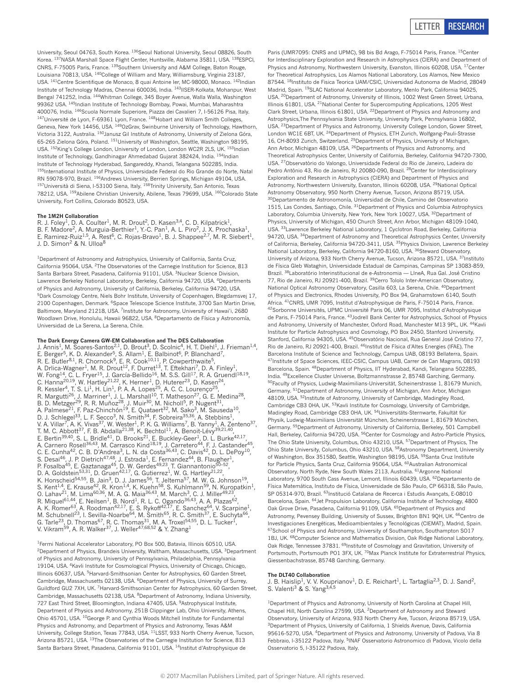

University, Seoul 04763, South Korea. 136Seoul National University, Seoul 08826, South Korea. 137NASA Marshall Space Flight Center, Huntsville, Alabama 35811, USA. 138ESPCI, CONRS, F-75005 Paris, France. <sup>139</sup>Southern University and A&M College, Baton Rouge, Louisiana 70813, USA. <sup>140</sup>College of William and Mary, Williamsburg, Virginia 23187, USA. <sup>141</sup>Centre Scientifique de Monaco, 8 quai Antoine Ier, MC-98000, Monaco. <sup>142</sup>Indian Institute of Technology Madras, Chennai 600036, India. 143IISER-Kolkata, Mohanpur, West Bengal 741252, India. 144Whitman College, 345 Boyer Avenue, Walla Walla, Washington 99362 USA. 145Indian Institute of Technology Bombay, Powai, Mumbai, Maharashtra 400076, India. 146Scuola Normale Superiore, Piazza dei Cavalieri 7, I-56126 Pisa, Italy. <sup>147</sup>Université de Lyon, F-69361 Lyon, France. <sup>148</sup>Hobart and William Smith Colleges, Geneva, New York 14456, USA. 149OzGrav, Swinburne University of Technology, Hawthorn, Victoria 3122, Australia. 150Janusz Gil Institute of Astronomy, University of Zielona Góra, 65-265 Zielona Góra, Poland. 151University of Washington, Seattle, Washington 98195, USA. 152King's College London, University of London, London WC2R 2LS, UK. 153Indian Institute of Technology, Gandhinagar Ahmedabad Gujarat 382424, India. 154Indian Institute of Technology Hyderabad, Sangareddy, Khandi, Telangana 502285, India. 155International Institute of Physics, Universidade Federal do Rio Grande do Norte, Natal RN 59078-970, Brazil. <sup>156</sup>Andrews University, Berrien Springs, Michigan 49104, USA. <sup>157</sup>Università di Siena, I-53100 Siena, Italy. <sup>158</sup>Trinity University, San Antonio, Texas 78212, USA. 159 Abilene Christian University, Abilene, Texas 79699, USA. 160 Colorado State University, Fort Collins, Colorado 80523, USA.

#### **The 1M2H Collaboration**

R. J. Foley<sup>1</sup>, D. A. Coulter<sup>1</sup>, M. R. Drout<sup>2</sup>, D. Kasen<sup>3,4</sup>, C. D. Kilpatrick<sup>1</sup>, B. F. Madore<sup>2</sup>, A. Murguia-Berthier<sup>1</sup>, Y.-C. Pan<sup>1</sup>, A. L. Piro<sup>2</sup>, J. X. Prochaska<sup>1</sup> E. Ramirez-Ruiz<sup>1,5</sup>, A. Rest<sup>6</sup>, C. Rojas-Bravo<sup>1</sup>, B. J. Shappee<sup>2,7</sup>, M. R. Siebert<sup>1</sup>, J. D. Simon<sup>2</sup> & N. Ulloa<sup>8</sup>

<sup>1</sup>Department of Astronomy and Astrophysics, University of California, Santa Cruz, California 95064, USA. 2The Observatories of the Carnegie Institution for Science, 813 Santa Barbara Street, Pasadena, California 91101, USA. 3Nuclear Science Division, Lawrence Berkeley National Laboratory, Berkeley, California 94720, USA. <sup>4</sup>Departments of Physics and Astronomy, University of California, Berkeley, California 94720, USA. 5Dark Cosmology Centre, Niels Bohr Institute, University of Copenhagen, Blegdamsvej 17, 2100 Copenhagen, Denmark. 6Space Telescope Science Institute, 3700 San Martin Drive, Baltimore, Maryland 21218, USA. <sup>7</sup>Institute for Astronomy, University of Hawai'i, 2680 Woodlawn Drive, Honolulu, Hawaii 96822, USA. 8Departamento de Física y Astronomía, Universidad de La Serena, La Serena, Chile.

**The Dark Energy Camera GW-EM Collaboration and The DES Collaboration** J. Annis<sup>1</sup>, M. Soares-Santos<sup>2,1</sup>, D. Brout<sup>3</sup>, D. Scolnic<sup>4</sup>, H. T. Diehl<sup>1</sup>, J. Frieman<sup>1,4</sup>, E. Berger<sup>5</sup>, K. D. Alexander<sup>5</sup>, S. Allam<sup>1</sup>, E. Balbinot<sup>6</sup>, P. Blanchard<sup>7</sup>, R. E. Butler<sup>8,1</sup>, R. Chornock<sup>9</sup>, E. R. Cook<sup>10,11</sup>, P. Cowperthwaite<sup>5</sup>, A. Drlica-Wagner<sup>1</sup>, M. R. Drout<sup>12</sup>, F. Durret<sup>13</sup>, T. Eftekhari<sup>7</sup>, D. A. Finley<sup>1</sup>, W. Fong $^{14}$ , C. L. Fryer $^{15}$ , J. García-Bellido $^{16}$ , M. S.S. Gill $^{17}$ , R. A. Gruendl $^{18,19}$ , C. Hanna<sup>20,19</sup>, W. Hartley<sup>21,22</sup>, K. Herner<sup>1</sup>, D. Huterer<sup>23</sup>, D. Kasen<sup>24</sup>, R. Kessler<sup>4</sup>, T. S. Li<sup>1</sup>, H. Lin<sup>1</sup>, P. A. A. Lopes<sup>25</sup>, A. C. C. Lourenço<sup>25</sup>, R. Margutti<sup>26</sup>, J. Marriner<sup>1</sup>, J. L. Marshall<sup>10</sup>, T. Matheson<sup>27</sup>, G. E. Medina<sup>28</sup>, B. D. Metzger<sup>29</sup>, R. R. Muñoz<sup>28</sup>, J. Muir<sup>30</sup>, M. Nicholl<sup>5</sup>, P. Nugent<sup>31</sup>, A. Palmese<sup>21</sup>, F. Paz-Chinchón<sup>19</sup>, E. Quataert<sup>32</sup>, M. Sako<sup>3</sup>, M. Sauseda<sup>10</sup>, D. J. Schlegel<sup>33</sup>, L. F. Secco<sup>3</sup>, N. Smith<sup>34</sup>, F. Sobreira<sup>35,36</sup>, A. Stebbins<sup>1</sup>, V. A. Villar<sup>7</sup>, A. K. Vivas<sup>37</sup>, W. Wester<sup>1</sup>, P. K. G. Williams<sup>7</sup>, B. Yanny<sup>1</sup>, A. Zenteno<sup>37</sup>, T. M. C. Abbott<sup>37</sup>, F. B. Abdalla<sup>21,38</sup>, K. Bechtol<sup>11</sup>, A. Benoit-Lévy<sup>39,21,40</sup>, E. Bertin<sup>39,40</sup>, S. L. Bridle<sup>41</sup>, D. Brooks<sup>21</sup>, E. Buckley-Geer<sup>1</sup>, D. L. Burke<sup>42,17</sup>, A. Carnero Rosell<sup>36,43</sup>, M. Carrasco Kind<sup>18,19</sup>, J. Carretero<sup>44</sup>, F. J. Castander<sup>45</sup>, C. E. Cunha<sup>42</sup>, C. B. D'Andrea<sup>3</sup>, L. N. da Costa<sup>36,43</sup>, C. Davis<sup>42</sup>, D. L. DePoy<sup>10</sup>,<br>S. Desai<sup>46</sup>, J. P. Dietrich<sup>47,48</sup>, J. Estrada<sup>1</sup>, E. Fernandez<sup>44</sup>, B. Flaugher<sup>1</sup>, P. Fosalba<sup>45</sup>, E. Gaztanaga<sup>45</sup>, D. W. Gerdes<sup>49,23</sup>, T. Giannantonio<sup>50–52</sup>, D. A. Goldstein<sup>53,31</sup>, D. Gruen<sup>42,17</sup>, G. Gutierrez<sup>1</sup>, W. G. Hartley<sup>21,22</sup>, K. Honscheid<sup>54,55</sup>, B. Jain<sup>3</sup>, D. J. James<sup>56</sup>, T. Jeltema<sup>57</sup>, M. W. G. Johnson<sup>19</sup>, S. Kent<sup>1,4</sup>, E. Krause<sup>42</sup>, R. Kron<sup>1,4</sup>, K. Kuehn<sup>58</sup>, S. Kuhlmann<sup>59</sup>, N. Kuropatkin<sup>1</sup>, O. Lahav<sup>21</sup>, M. Lima<sup>60,36</sup>, M. A. G. Maia<sup>36,43</sup>, M. March<sup>3</sup>, C. J. Miller<sup>49,23</sup>, R. Miquel<sup>61,44</sup>, E. Neilsen<sup>1</sup>, B. Nord<sup>1</sup>, R. L. C. Ogando<sup>36,43</sup>, A. A. Plazas<sup>62</sup>, A. K. Romer<sup>63</sup>, A. Roodman<sup>42,17</sup>, E. S. Rykoff<sup>42,17</sup>, E. Sanchez<sup>64</sup>, V. Scarpine<sup>1</sup>, M. Schubnell<sup>23</sup>, I. Sevilla-Noarbe<sup>64</sup>, M. Smith<sup>65</sup>, R. C. Smith<sup>37</sup>, E. Suchyta<sup>66</sup>, G. Tarle<sup>23</sup>, D. Thomas<sup>67</sup>, R. C. Thomas<sup>31</sup>, M. A. Troxel<sup>54,55</sup>, D. L. Tucker<sup>1</sup>, V. Vikram<sup>59</sup>, A. R. Walker<sup>37</sup>, J. Weller<sup>47,68,52</sup> & Y. Zhang<sup>1</sup>

<sup>1</sup>Fermi National Accelerator Laboratory, PO Box 500, Batavia, Illinois 60510, USA. 2Department of Physics, Brandeis University, Waltham, Massachusetts, USA. 3Department of Physics and Astronomy, University of Pennsylvania, Philadelphia, Pennsylvania 19104, USA. 4Kavli Institute for Cosmological Physics, University of Chicago, Chicago, Illinois 60637, USA. <sup>5</sup>Harvard-Smithsonian Center for Astrophysics, 60 Garden Street, Cambridge, Massachusetts 02138, USA. 6Department of Physics, University of Surrey, Guildford GU2 7XH, UK. 7Harvard-Smithsonian Center for Astrophysics, 60 Garden Street, Cambridge, Massachusetts 02138, USA. 8Department of Astronomy, Indiana University, 727 East Third Street, Bloomington, Indiana 47405, USA. <sup>9</sup>Astrophysical Institute, Department of Physics and Astronomy, 251B Clippinger Lab, Ohio University, Athens, Ohio 45701, USA. 10George P. and Cynthia Woods Mitchell Institute for Fundamental Physics and Astronomy, and Department of Physics and Astronomy, Texas A&M University, College Station, Texas 77843, USA. 11LSST, 933 North Cherry Avenue, Tucson, Arizona 85721, USA. 13The Observatories of the Carnegie Institution for Science, 813 Santa Barbara Street, Pasadena, California 91101, USA. <sup>14</sup>Institut d'Astrophysique de

Paris (UMR7095: CNRS and UPMC), 98 bis Bd Arago, F-75014 Paris, France. <sup>15</sup>Center for Interdisciplinary Exploration and Research in Astrophysics (CIERA) and Department of Physics and Astronomy, Northwestern University, Evanston, Illinois 60208, USA. <sup>17</sup>Center for Theoretical Astrophysics, Los Alamos National Laboratory, Los Alamos, New Mexico 87544. 18Instituto de Fisica Teorica UAM/CSIC, Universidad Autonoma de Madrid, 28049 Madrid, Spain. 19SLAC National Accelerator Laboratory, Menlo Park, California 94025, USA. 20Department of Astronomy, University of Illinois, 1002 West Green Street, Urbana, Illinois 61801, USA. <sup>21</sup>National Center for Supercomputing Applications, 1205 West Clark Street, Urbana, Illinois 61801, USA. 22Department of Physics and Astronomy and Astrophysics,The Pennsylvania State University, University Park, Pennsylvania 16802, USA. 23Department of Physics and Astronomy, University College London, Gower Street, London WC1E 6BT, UK. <sup>24</sup>Department of Physics, ETH Zurich, Wolfgang-Pauli-Strasse 16, CH-8093 Zurich, Switzerland. 25Department of Physics, University of Michigan, Ann Arbor, Michigan 48109, USA. <sup>26</sup>Departments of Physics and Astronomy, and Theoretical Astrophysics Center, University of California, Berkeley, California 94720-7300, USA. 27Observatòrio do Valongo, Universidade Federal do Rio de Janeiro, Ladeira do Pedro Antônio 43, Rio de Janeiro, RJ 20080-090, Brazil. <sup>28</sup>Center for Interdisciplinary Exploration and Research in Astrophysics (CIERA) and Department of Physics and Astronomy, Northwestern University, Evanston, Illinois 60208, USA. 29National Optical Astronomy Observatory, 950 North Cherry Avenue, Tucson, Arizona 85719, USA. 30Departamento de Astronomonía, Universidad de Chile, Camino del Observatorio 1515, Las Condes, Santiago, Chile. 31Department of Physics and Columbia Astrophysics Laboratory, Columbia University, New York, New York 10027, USA. <sup>32</sup>Department of Physics, University of Michigan, 450 Church Street, Ann Arbor, Michigan 48109-1040, USA. 33Lawrence Berkeley National Laboratory, 1 Cyclotron Road, Berkeley, California 94720, USA. <sup>34</sup>Department of Astronomy and Theoretical Astrophysics Center, University of California, Berkeley, California 94720-3411, USA. 35Physics Division, Lawrence Berkeley National Laboratory, Berkeley, California 94720-8160, USA. <sup>36</sup>Steward Observatory, University of Arizona, 933 North Cherry Avenue, Tucson, Arizona 85721, USA. <sup>37</sup>Instituto de Física Gleb Wataghin, Universidade Estadual de Campinas, Campinas SP 13083-859, Brazil. <sup>38</sup>Laboratório Interinstitucional de e-Astronomia — LIneA, Rua Gal. José Cristino 77, Rio de Janeiro, RJ 20921-400, Brazil. <sup>39</sup>Cerro Tololo Inter-American Observatory, National Optical Astronomy Observatory, Casilla 603, La Serena, Chile. 40Department of Physics and Electronics, Rhodes University, PO Box 94, Grahamstown 6140, South Africa. 41CNRS, UMR 7095, Institut d'Astrophysique de Paris, F-75014 Paris, France. 42Sorbonne Universités, UPMC Université Paris 06, UMR 7095, Institut d'Astrophysique de Paris, F-75014 Paris, France. <sup>43</sup>Jodrell Bank Center for Astrophysics, School of Physics and Astronomy, University of Manchester, Oxford Road, Manchester M13 9PL, UK. <sup>44</sup>Kavli Institute for Particle Astrophysics and Cosmology, PO Box 2450, Stanford University, Stanford, California 94305, USA. <sup>45</sup>Observatório Nacional, Rua General José Cristino 77, Rio de Janeiro, RJ 20921-400, Brazil. <sup>46</sup>Institut de Física d'Altes Energies (IFAE), The Barcelona Institute of Science and Technology, Campus UAB, 08193 Bellaterra, Spain. 47Institute of Space Sciences, IEEC-CSIC, Campus UAB, Carrer de Can Magrans, 08193 Barcelona, Spain. 48Department of Physics, IIT Hyderabad, Kandi, Telangana 502285, India. 49Excellence Cluster Universe, Boltzmannstrasse 2, 85748 Garching, Germany. 50Faculty of Physics, Ludwig-Maximilians-Universität, Scheinerstrasse 1, 81679 Munich, Germany. 51Department of Astronomy, University of Michigan, Ann Arbor, Michigan 48109, USA. <sup>52</sup>Institute of Astronomy, University of Cambridge, Madingley Road, Cambridge CB3 0HA, UK. 53Kavli Institute for Cosmology, University of Cambridge, Madingley Road, Cambridge CB3 0HA, UK. 54Universitäts-Sternwarte, Fakultät für Physik, Ludwig-Maximilians Universität München, Scheinerstrasse 1, 81679 München, Germany. 55Department of Astronomy, University of California, Berkeley, 501 Campbell Hall, Berkeley, California 94720, USA. <sup>56</sup>Center for Cosmology and Astro-Particle Physics, The Ohio State University, Columbus, Ohio 43210, USA. <sup>57</sup>Department of Physics, The Ohio State University, Columbus, Ohio 43210, USA. 58Astronomy Department, University of Washington, Box 351580, Seattle, Washington 98195, USA. 59Santa Cruz Institute for Particle Physics, Santa Cruz, California 95064, USA. 60Australian Astronomical Observatory, North Ryde, New South Wales 2113, Australia. 61Argonne National Laboratory, 9700 South Cass Avenue, Lemont, Illinois 60439, USA. <sup>62</sup>Departamento de Física Matemática, Instituto de Física, Universidade de São Paulo, CP 66318, São Paulo, SP 05314-970, Brazil. 63Institució Catalana de Recerca i Estudis Avançats, E-08010 Barcelona, Spain. 64Jet Propulsion Laboratory, California Institute of Technology, 4800 Oak Grove Drive, Pasadena, California 91109, USA. <sup>65</sup>Department of Physics and Astronomy, Pevensey Building, University of Sussex, Brighton BN1 9QH, UK. <sup>66</sup>Centro de Investigaciones Energéticas, Medioambientales y Tecnológicas (CIEMAT), Madrid, Spain. 67School of Physics and Astronomy, University of Southampton, Southampton SO17 1BJ, UK. 68Computer Science and Mathematics Division, Oak Ridge National Laboratory, Oak Ridge, Tennessee 37831. <sup>69</sup>Institute of Cosmology and Gravitation, University of Portsmouth, Portsmouth PO1 3FX, UK. <sup>70</sup>Max Planck Institute for Extraterrestrial Physics, Giessenbachstrasse, 85748 Garching, Germany.

#### **The DLT40 Collaboration**

J. B. Haislip<sup>1</sup>, V. V. Kouprianov<sup>1</sup>, D. E. Reichart<sup>1</sup>, L. Tartaglia<sup>2,3</sup>, D. J. Sand<sup>2</sup>, S. Valenti<sup>3</sup> & S. Yang<sup>3,4,5</sup>

<sup>1</sup>Department of Physics and Astronomy, University of North Carolina at Chapel Hill, Chapel Hill, North Carolina 27599, USA. 2Department of Astronomy and Steward Observatory, University of Arizona, 933 North Cherry Ave, Tucson, Arizona 85719, USA. 3Department of Physics, University of California, 1 Shields Avenue, Davis, California 95616-5270, USA. 4Department of Physics and Astronomy, University of Padova, Via 8 Febbraio, I-35122 Padova, Italy. <sup>5</sup>INAF Osservatorio Astronomico di Padova, Vicolo della Osservatorio 5, I-35122 Padova, Italy.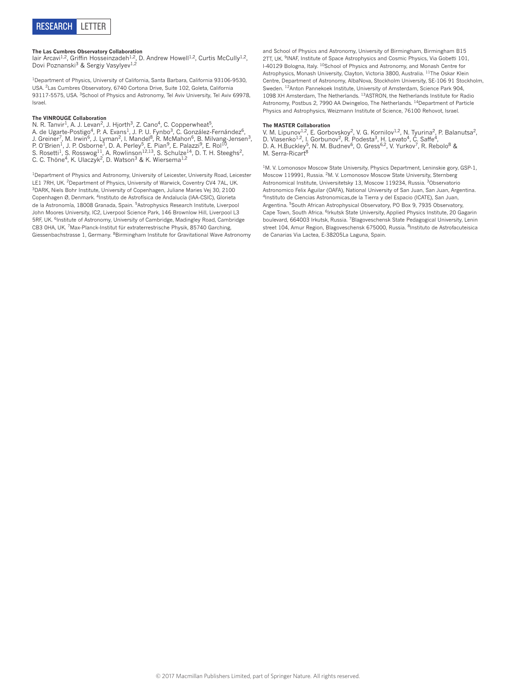

**The Las Cumbres Observatory Collaboration**<br>Iair Arcavi<sup>1,2</sup>, Griffin Hosseinzadeh<sup>1,2</sup>, D. Andrew Howell<sup>1,2</sup>, Curtis McCully<sup>1,2</sup>, Dovi Poznanski<sup>3</sup> & Sergiy Vasylyev<sup>1,2</sup>

<sup>1</sup>Department of Physics, University of California, Santa Barbara, California 93106-9530, USA. 2Las Cumbres Observatory, 6740 Cortona Drive, Suite 102, Goleta, California 93117-5575, USA. <sup>3</sup>School of Physics and Astronomy, Tel Aviv University, Tel Aviv 69978, Israel.

#### **The VINROUGE Collaboration**

N. R. Tanvir<sup>1</sup>, A. J. Levan<sup>2</sup>, J. Hjorth<sup>3</sup>, Z. Cano<sup>4</sup>, C. Copperwheat<sup>5</sup>, A. de Ugarte-Postigo<sup>4</sup>, P. A. Evans<sup>1</sup>, J. P. U. Fynbo<sup>3</sup>, C. González-Fernández<sup>6</sup>, J. Greiner<sup>7</sup>, M. Irwin<sup>6</sup>, J. Lyman<sup>2</sup>, I. Mandel<sup>8</sup>, R. McMahon<sup>6</sup>, B. Milvang-Jensen<sup>3</sup>, P. O'Brien<sup>1</sup>, J. P. Osborne<sup>1</sup>, D. A. Perley<sup>5</sup>, E. Pian<sup>9</sup>, E. Palazzi<sup>9</sup>, E. Rol<sup>10</sup>, S. Rosetti $^1$ , S. Rosswog $^{11}$ , A. Rowlinson $^{12,13}$ , S. Schulze $^{14}$ , D. T. H. Steeghs $^2$ , C. C. Thöne<sup>4</sup>, K. Ulaczyk<sup>2</sup>, D. Watson<sup>3</sup> & K. Wiersema<sup>1,2</sup>

<sup>1</sup>Department of Physics and Astronomy, University of Leicester, University Road, Leicester LE1 7RH, UK. <sup>2</sup>Department of Physics, University of Warwick, Coventry CV4 7AL, UK. 3DARK, Niels Bohr Institute, University of Copenhagen, Juliane Maries Vej 30, 2100 Copenhagen Ø, Denmark. 4Instituto de Astrofísica de Andalucía (IAA-CSIC), Glorieta de la Astronomía, 18008 Granada, Spain. 5Astrophysics Research Institute, Liverpool John Moores University, IC2, Liverpool Science Park, 146 Brownlow Hill, Liverpool L3 5RF, UK. <sup>6</sup>Institute of Astronomy, University of Cambridge, Madingley Road, Cambridge CB3 0HA, UK. 7Max-Planck-Institut für extraterrestrische Physik, 85740 Garching, Giessenbachstrasse 1, Germany. 8Birmingham Institute for Gravitational Wave Astronomy

and School of Physics and Astronomy, University of Birmingham, Birmingham B15 2TT, UK. <sup>9</sup>INAF, Institute of Space Astrophysics and Cosmic Physics, Via Gobetti 101, I-40129 Bologna, Italy. 10School of Physics and Astronomy, and Monash Centre for Astrophysics, Monash University, Clayton, Victoria 3800, Australia. 11The Oskar Klein Centre, Department of Astronomy, AlbaNova, Stockholm University, SE-106 91 Stockholm, Sweden. 12Anton Pannekoek Institute, University of Amsterdam, Science Park 904, 1098 XH Amsterdam, The Netherlands. 13ASTRON, the Netherlands Institute for Radio Astronomy, Postbus 2, 7990 AA Dwingeloo, The Netherlands. 14Department of Particle Physics and Astrophysics, Weizmann Institute of Science, 76100 Rehovot, Israel.

#### **The MASTER Collaboration**

V. M. Lipunov<sup>1,2</sup>, E. Gorbovskoy<sup>2</sup>, V. G. Kornilov<sup>1,2</sup>, N. Tyurina<sup>2</sup>, P. Balanutsa<sup>2</sup>, D. Vlasenko<sup>1,2</sup>, I. Gorbunov<sup>2</sup>, R. Podesta<sup>3</sup>, H. Levato<sup>4</sup>, C. Saffe<sup>4</sup>, D. A. H.Buckley<sup>5</sup>, N. M. Budnev<sup>6</sup>, O. Gress<sup>6,2</sup>, V. Yurkov<sup>7</sup>, R. Rebolo<sup>8</sup> & M. Serra-Ricart<sup>8</sup>

<sup>1</sup>M. V. Lomonosov Moscow State University, Physics Department, Leninskie gory, GSP-1, Moscow 119991, Russia. 2M. V. Lomonosov Moscow State University, Sternberg Astronomical Institute, Universitetsky 13, Moscow 119234, Russia. 3Observatorio Astronomico Felix Aguilar (OAFA), National University of San Juan, San Juan, Argentina. 4Instituto de Ciencias Astronomicas,de la Tierra y del Espacio (ICATE), San Juan, Argentina. <sup>5</sup>South African Astrophysical Observatory, PO Box 9, 7935 Observatory, Cape Town, South Africa. 6Irkutsk State University, Applied Physics Institute, 20 Gagarin boulevard, 664003 Irkutsk, Russia. 7Blagoveschensk State Pedagogical University, Lenin street 104, Amur Region, Blagoveschensk 675000, Russia. <sup>8</sup>Instituto de Astrofacuteisica de Canarias Via Lactea, E-38205La Laguna, Spain.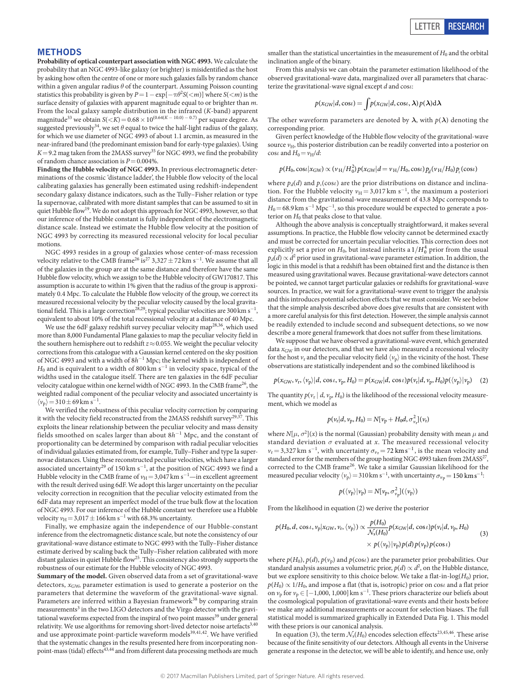## **Methods**

**Probability of optical counterpart association with NGC 4993.** We calculate the probability that an NGC 4993-like galaxy (or brighter) is misidentified as the host by asking how often the centre of one or more such galaxies falls by random chance within a given angular radius *θ* of the counterpart. Assuming Poisson counting statistics this probability is given by  $P = 1 - \exp[-\pi \theta^2 S(\langle m] \sin^2 \theta \sin^2 \theta + S(\langle m] \sin^2 \theta \sin^2 \theta)]$ surface density of galaxies with apparent magnitude equal to or brighter than *m*. From the local galaxy sample distribution in the infrared (*K*-band) apparent magnitude<sup>33</sup> we obtain  $S(*K*) = 0.68 \times 10^{(0.64(K - 10.0) - 0.7)}$  per square degree. As suggested previously<sup>34</sup>, we set  $\theta$  equal to twice the half-light radius of the galaxy, for which we use diameter of NGC 4993 of about 1.1 arcmin, as measured in the near-infrared band (the predominant emission band for early-type galaxies). Using  $K$  = 9.2 mag taken from the 2MASS survey<sup>35</sup> for NGC 4993, we find the probability of random chance association is *P*=0.004%.

**Finding the Hubble velocity of NGC 4993.** In previous electromagnetic determinations of the cosmic 'distance ladder', the Hubble flow velocity of the local calibrating galaxies has generally been estimated using redshift-independent secondary galaxy distance indicators, such as the Tully–Fisher relation or type Ia supernovae, calibrated with more distant samples that can be assumed to sit in quiet Hubble flow<sup>19</sup>. We do not adopt this approach for NGC 4993, however, so that our inference of the Hubble constant is fully independent of the electromagnetic distance scale. Instead we estimate the Hubble flow velocity at the position of NGC 4993 by correcting its measured recessional velocity for local peculiar motions.

NGC 4993 resides in a group of galaxies whose center-of-mass recession velocity relative to the CMB frame<sup>[26](#page-2-16)</sup> is<sup>27</sup> 3,327  $\pm$  72 km s<sup>−1</sup>. We assume that all of the galaxies in the group are at the same distance and therefore have the same Hubble flow velocity, which we assign to be the Hubble velocity of GW170817. This assumption is accurate to within 1% given that the radius of the group is approximately 0.4 Mpc. To calculate the Hubble flow velocity of the group, we correct its measured recessional velocity by the peculiar velocity caused by the local gravitational field. This is a large correction<sup>28,29</sup>; typical peculiar velocities are 300 km s<sup>-1</sup>, equivalent to about 10% of the total recessional velocity at a distance of 40 Mpc.

We use the 6dF galaxy redshift survey peculiar velocity map<sup>[28](#page-2-18),36</sup>, which used more than 8,000 Fundamental Plane galaxies to map the peculiar velocity field in the southern hemisphere out to redshift *z*≈0.055. We weight the peculiar velocity corrections from this catalogue with a Gaussian kernel centered on the sky position of NGC 4993 and with a width of 8*h*<sup>−1</sup> Mpc; the kernel width is independent of *H*<sub>0</sub> and is equivalent to a width of 800 km s<sup>−1</sup> in velocity space, typical of the widths used in the catalogue itself. There are ten galaxies in the 6dF peculiar velocity catalogue within one kernel width of NGC 4993. In the CMB frame<sup>26</sup>, the weighted radial component of the peculiar velocity and associated uncertainty is  $\langle v_{\rm p} \rangle = 310 \pm 69 \,\rm km\ s^{-1}.$ 

We verified the robustness of this peculiar velocity correction by comparing it with the velocity field reconstructed from the 2MASS redshift survey<sup>[29,](#page-2-19)[37](#page-10-4)</sup>. This exploits the linear relationship between the peculiar velocity and mass density fields smoothed on scales larger than about 8*h*<sup>−</sup><sup>1</sup> Mpc, and the constant of proportionality can be determined by comparison with radial peculiar velocities of individual galaxies estimated from, for example, Tully–Fisher and type Ia supernovae distances. Using these reconstructed peculiar velocities, which have a larger associated uncertainty<sup>[29](#page-2-19)</sup> of 150 km s<sup>-1</sup>, at the position of NGC 4993 we find a Hubble velocity in the CMB frame of  $v_{\rm H}\!=\!3,\!047\,{\rm km~s^{-1}}\!-\!$  in excellent agreement with the result derived using 6dF. We adopt this larger uncertainty on the peculiar velocity correction in recognition that the peculiar velocity estimated from the 6dF data may represent an imperfect model of the true bulk flow at the location of NGC 4993. For our inference of the Hubble constant we therefore use a Hubble velocity  $v_{\rm H}$  = 3,017  $\pm$  166 km s<sup>-1</sup> with 68.3% uncertainty.

Finally, we emphasize again the independence of our Hubble-constant inference from the electromagnetic distance scale, but note the consistency of our gravitational-wave distance estimate to NGC 4993 with the Tully–Fisher distance estimate derived by scaling back the Tully–Fisher relation calibrated with more distant galaxies in quiet Hubble flow<sup>25</sup>. This consistency also strongly supports the robustness of our estimate for the Hubble velocity of NGC 4993.

**Summary of the model.** Given observed data from a set of gravitational-wave detectors, *x*GW, parameter estimation is used to generate a posterior on the parameters that determine the waveform of the gravitational-wave signal. Parameters are inferred within a Bayesian framework<sup>38</sup> by comparing strain measurements<sup>3</sup> in the two LIGO detectors and the Virgo detector with the gravi-tational waveforms expected from the inspiral of two point masses<sup>[39](#page-10-6)</sup> under general relativity. We use algorithms for removing short-lived detector noise artefacts<sup>[3](#page-2-2)[,40](#page-10-7)</sup> and use approximate point-particle waveform models<sup>39[,41,](#page-10-8)42</sup>. We have verified that the systematic changes in the results presented here from incorporating non-point-mass (tidal) effects<sup>[43,](#page-10-10)[44](#page-10-11)</sup> and from different data processing methods are much

smaller than the statistical uncertainties in the measurement of  $H_0$  and the orbital inclination angle of the binary.

From this analysis we can obtain the parameter estimation likelihood of the observed gravitational-wave data, marginalized over all parameters that characterize the gravitational-wave signal except *d* and cos*ι*:

$$
p(x_{\rm GW}|d,\cos t) = \int p(x_{\rm GW}|d,\cos t,\lambda)p(\lambda)d\lambda
$$

The other waveform parameters are denoted by  $\lambda$ , with  $p(\lambda)$  denoting the corresponding prior.

Given perfect knowledge of the Hubble flow velocity of the gravitational-wave source  $v_{\text{H}}$ , this posterior distribution can be readily converted into a posterior on  $\cos\iota$  and  $H_0 = v_H/d$ :

$$
p(H_0, \cos\iota | x_{\rm GW}) \propto (\nu_{\rm H}/H_0^2) p(x_{\rm GW}|d = \nu_{\rm H}/H_0, \cos\iota) p_d(\nu_{\rm H}/H_0) p_l(\cos\iota)
$$

where  $p_d(d)$  and  $p_t(\cos t)$  are the prior distributions on distance and inclination. For the Hubble velocity  $v_H = 3.017 \text{ km s}^{-1}$ , the maximum a posteriori distance from the gravitational-wave measurement of 43.8 Mpc corresponds to  $H_0$ =68.9 km s<sup>-1</sup> Mpc<sup>-1</sup>, so this procedure would be expected to generate a posterior on  $H_0$  that peaks close to that value.

Although the above analysis is conceptually straightforward, it makes several assumptions. In practice, the Hubble flow velocity cannot be determined exactly and must be corrected for uncertain peculiar velocities. This correction does not explicitly set a prior on  $H_0$ , but instead inherits a  $1/H_0^4$  prior from the usual  $p_d(d) \propto d^2$  prior used in gravitational-wave parameter estimation. In addition, the logic in this model is that a redshift has been obtained first and the distance is then measured using gravitational waves. Because gravitational-wave detectors cannot be pointed, we cannot target particular galaxies or redshifts for gravitational-wave sources. In practice, we wait for a gravitational-wave event to trigger the analysis and this introduces potential selection effects that we must consider. We see below that the simple analysis described above does give results that are consistent with a more careful analysis for this first detection. However, the simple analysis cannot be readily extended to include second and subsequent detections, so we now describe a more general framework that does not suffer from these limitations.

We suppose that we have observed a gravitational-wave event, which generated data  $x_{GW}$  in our detectors, and that we have also measured a recessional velocity for the host  $v_r$  and the peculiar velocity field  $\langle v_p \rangle$  in the vicinity of the host. These observations are statistically independent and so the combined likelihood is

$$
p(x_{\text{GW}}, v_{\text{r}}, \langle v_{\text{p}} \rangle | d, \cos \iota, v_{\text{p}}, H_0) = p(x_{\text{GW}} | d, \cos \iota) p(v_{\text{r}} | d, v_{\text{p}}, H_0) p(\langle v_{\text{p}} \rangle | v_{\text{p}})
$$
 (2)

The quantity  $p(v_r | d, v_p, H_0)$  is the likelihood of the recessional velocity measurement, which we model as

$$
p(v_{\rm r}|d, v_{\rm p}, H_0) = N[v_{\rm p} + H_0d, \sigma_{v_{\rm r}}^2](v_{\rm r})
$$

where  $N[\mu, \sigma^2](x)$  is the normal (Gaussian) probability density with mean  $\mu$  and standard deviation  $\sigma$  evaluated at *x*. The measured recessional velocity  $v_r$  = 3,327 km s<sup>-1</sup>, with uncertainty  $\sigma_{v_r}$  = 72 km s<sup>-1</sup>, is the mean velocity and standard error for the members of the group hosting NGC 4993 taken from 2MASS<sup>27</sup>, corrected to the CMB frame[26](#page-2-16). We take a similar Gaussian likelihood for the measured peculiar velocity  $\langle v_{\rm p} \rangle = 310 \, {\rm km \, s^{-1}}$ , with uncertainty  $\sigma_{v_{\rm p}} = 150 \, {\rm km \, s^{-1}}$ .

$$
p(\langle \nu_p \rangle|\nu_p)=N[\nu_p,\sigma^2_{\nu_p}](\langle \nu_p \rangle)
$$

From the likelihood in equation (2) we derive the posterior

$$
p(H_0, d, \cos \iota, \nu_p | x_{\text{GW}}, \nu_r, \langle \nu_p \rangle) \propto \frac{p(H_0)}{\mathcal{N}_s(H_0)} p(x_{\text{GW}} | d, \cos \iota) p(\nu_r | d, \nu_p, H_0)
$$
  
 
$$
\times p(\langle \nu_p \rangle | \nu_p) p(d) p(\nu_p) p(\cos \iota)
$$
 (3)

where  $p(H_0), p(d), p(v_p)$  and  $p(\cos\iota)$  are the parameter prior probabilities. Our standard analysis assumes a volumetric prior,  $p(d) \propto d^2$ , on the Hubble distance, but we explore sensitivity to this choice below. We take a flat-in-log( $H_0$ ) prior,  $p(H_0) \propto 1/H_0$ , and impose a flat (that is, isotropic) prior on cos*i* and a flat prior on  $v_p$  for  $v_p \in [-1,000, 1,000]$  km s<sup>-1</sup>. These priors characterize our beliefs about the cosmological population of gravitational-wave events and their hosts before we make any additional measurements or account for selection biases. The full statistical model is summarized graphically in [Extended Data Fig. 1.](#page-11-0) This model with these priors is our canonical analysis.

In equation (3), the term  $\mathcal{N}_s(H_0)$  encodes selection effects  $^{23,45,46}.$  $^{23,45,46}.$  $^{23,45,46}.$  $^{23,45,46}.$  $^{23,45,46}.$  These arise because of the finite sensitivity of our detectors. Although all events in the Universe generate a response in the detector, we will be able to identify, and hence use, only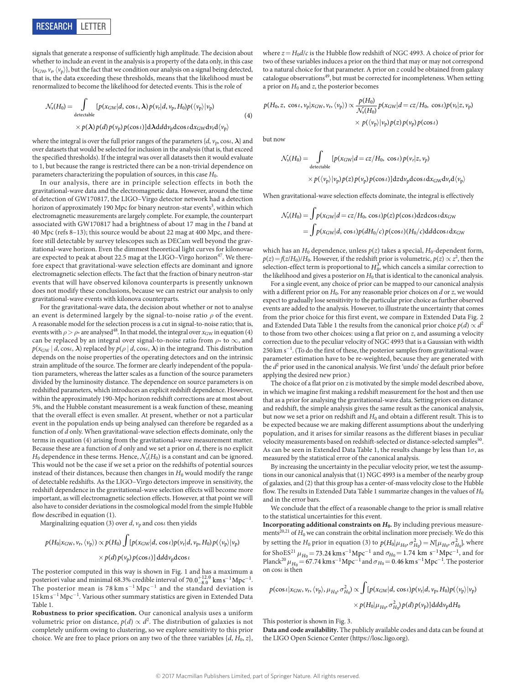

signals that generate a response of sufficiently high amplitude. The decision about whether to include an event in the analysis is a property of the data only, in this case  $\{x_{\text{GW}}, v_{\text{p}}\langle v_{\text{p}}\rangle\}$ , but the fact that we condition our analysis on a signal being detected, that is, the data exceeding these thresholds, means that the likelihood must be renormalized to become the likelihood for detected events. This is the role of

$$
\mathcal{N}_{s}(H_{0}) = \int_{\text{detectable}} [p(x_{\text{GW}}|d, \cos \iota, \lambda) p(v_{\text{r}}|d, v_{\text{p}}, H_{0}) p(\langle v_{\text{p}} \rangle | v_{\text{p}}) \times p(\lambda) p(d) p(v_{\text{p}}) p(\cos \iota)] d\lambda d d v_{\text{p}} d \cos \iota d x_{\text{GW}} d v_{\text{r}} d \langle v_{\text{p}} \rangle
$$

where the integral is over the full prior ranges of the parameters  $\{d, v_p \cos \theta, \lambda\}$  and over datasets that would be selected for inclusion in the analysis (that is, that exceed the specified thresholds). If the integral was over all datasets then it would evaluate to 1, but because the range is restricted there can be a non-trivial dependence on parameters characterizing the population of sources, in this case *H*0.

In our analysis, there are in principle selection effects in both the gravitational-wave data and the electromagnetic data. However, around the time of detection of GW170817, the LIGO–Virgo detector network had a detection horizon of approximately 190 Mpc for binary neutron-star events<sup>3</sup>, within which electromagnetic measurements are largely complete. For example, the counterpart associated with GW170817 had a brightness of about 17 mag in the *I* band at 40 Mpc (refs [8](#page-2-5)–[13](#page-2-22)); this source would be about 22 mag at 400 Mpc, and therefore still detectable by survey telescopes such as DECam well beyond the gravitational-wave horizon. Even the dimmest theoretical light curves for kilonovae are expected to peak at about 22.5 mag at the LIGO–Virgo horizon<sup>[47](#page-10-14)</sup>. We therefore expect that gravitational-wave selection effects are dominant and ignore electromagnetic selection effects. The fact that the fraction of binary neutron-star events that will have observed kilonova counterparts is presently unknown does not modify these conclusions, because we can restrict our analysis to only gravitational-wave events with kilonova counterparts.

For the gravitational-wave data, the decision about whether or not to analyse an event is determined largely by the signal-to-noise ratio *ρ* of the event. A reasonable model for the selection process is a cut in signal-to-noise ratio; that is, events with  $\rho > \rho_*$  are analysed<sup>48</sup>. In that model, the integral over  $x_{\rm GW}$  in equation (4) can be replaced by an integral over signal-to-noise ratio from *ρ*<sup>\*</sup> to ∞, and  $p(x_{\text{GW}} | d, \cos t, \lambda)$  replaced by  $p(\rho | d, \cos t, \lambda)$  in the integrand. This distribution depends on the noise properties of the operating detectors and on the intrinsic strain amplitude of the source. The former are clearly independent of the population parameters, whereas the latter scales as a function of the source parameters divided by the luminosity distance. The dependence on source parameters is on redshifted parameters, which introduces an explicit redshift dependence. However, within the approximately 190-Mpc horizon redshift corrections are at most about 5%, and the Hubble constant measurement is a weak function of these, meaning that the overall effect is even smaller. At present, whether or not a particular event in the population ends up being analysed can therefore be regarded as a function of *d* only. When gravitational-wave selection effects dominate, only the terms in equation (4) arising from the gravitational-wave measurement matter. Because these are a function of *d* only and we set a prior on *d*, there is no explicit  $H_0$  dependence in these terms. Hence,  $\mathcal{N}_s(H_0)$  is a constant and can be ignored. This would not be the case if we set a prior on the redshifts of potential sources instead of their distances, because then changes in  $H_0$  would modify the range of detectable redshifts. As the LIGO–Virgo detectors improve in sensitivity, the redshift dependence in the gravitational-wave selection effects will become more important, as will electromagnetic selection effects. However, at that point we will also have to consider deviations in the cosmological model from the simple Hubble flow described in equation (1).

Marginalizing equation (3) over  $d$ ,  $v_p$  and cos*i* then yields

$$
p(H_0|x_{\text{GW}}, v_{\text{r}}, \langle v_{\text{p}}\rangle) \propto p(H_0) \int [p(x_{\text{GW}}|d, \cos \iota)p(v_{\text{r}}|d, v_{\text{p}}, H_0)p(\langle v_{\text{p}}\rangle|v_{\text{p}})
$$

$$
\times p(d)p(v_{\text{p}})p(\cos \iota)] \, \mathrm{d}d\mathrm{d}v_{\text{p}} \mathrm{d}\cos \iota
$$

The posterior computed in this way is shown in [Fig. 1](#page-1-0) and has a maximum a posteriori value and minimal 68.3% credible interval of  $70.0^{+12.0}_{-8.0}\ \mathrm{km\,s^{-1}\,Mpc^{-1}}$ . The posterior mean is  $78 \text{ km s}^{-1} \text{ Mpc}^{-1}$  and the standard deviation is 15 km s<sup>-1</sup> Mpc<sup>-1</sup>. Various other summary statistics are given in [Extended Data](#page-13-0) [Table 1](#page-13-0).

**Robustness to prior specification.** Our canonical analysis uses a uniform volumetric prior on distance,  $p(d) \propto d^2$ . The distribution of galaxies is not completely uniform owing to clustering, so we explore sensitivity to this prior choice. We are free to place priors on any two of the three variables  $\{d, H_0, z\}$ ,

where  $z = H_0 d/c$  is the Hubble flow redshift of NGC 4993. A choice of prior for two of these variables induces a prior on the third that may or may not correspond to a natural choice for that parameter. A prior on *z* could be obtained from galaxy catalogue observations<sup>49</sup>, but must be corrected for incompleteness. When setting a prior on  $H_0$  and  $z$ , the posterior becomes

$$
p(H_0, z, \cos t, v_p | x_{\text{GW}}, v_{\text{r}}, \langle v_p \rangle) \propto \frac{p(H_0)}{\mathcal{N}_s(H_0)} p(x_{\text{GW}} | d = cz/H_0, \cos t) p(v_{\text{r}} | z, v_p)
$$

$$
\times p(\langle v_p \rangle | v_p) p(z) p(v_p) p(\cos t)
$$

but now

(4)

$$
\mathcal{N}_s(H_0) = \int_{\text{detectable}} [p(x_{\text{GW}}|d = cz/H_0, \cos t) p(v_r|z, v_p)
$$
  
 
$$
\times p(\langle v_p \rangle | v_p) p(z) p(v_p) p(\cos t) ] dz dv_p d\cos t dx_{\text{GW}} dv_r d\langle v_p \rangle
$$

When gravitational-wave selection effects dominate, the integral is effectively

$$
\mathcal{N}_s(H_0) = \int p(x_{\rm GW}|d = cz/H_0, \cos \iota)p(z)p(\cos \iota)dxd\cos \iota dx_{\rm GW}
$$
  
= 
$$
\int p(x_{\rm GW}|d, \cos \iota)p(dH_0/c)p(\cos \iota)(H_0/c)ddd\cos \iota dx_{\rm GW}
$$

which has an  $H_0$  dependence, unless  $p(z)$  takes a special,  $H_0$ -dependent form,  $p(z) = f(z/H_0)/H_0$ . However, if the redshift prior is volumetric,  $p(z) \propto z^2$ , then the selection-effect term is proportional to  $H_0^3$ , which cancels a similar correction to the likelihood and gives a posterior on  $H_0$  that is identical to the canonical analysis.

For a single event, any choice of prior can be mapped to our canonical analysis with a different prior on  $H_0$ . For any reasonable prior choices on  $d$  or  $z$ , we would expect to gradually lose sensitivity to the particular prior choice as further observed events are added to the analysis. However, to illustrate the uncertainty that comes from the prior choice for this first event, we compare in [Extended Data Fig. 2](#page-12-0) and [Extended Data Table 1](#page-13-0) the results from the canonical prior choice  $p(d) \propto d^2$ to those from two other choices: using a flat prior on *z*, and assuming a velocity correction due to the peculiar velocity of NGC 4993 that is a Gaussian with width 250 km s<sup>-1</sup>. (To do the first of these, the posterior samples from gravitational-wave parameter estimation have to be re-weighted, because they are generated with the  $d^2$  prior used in the canonical analysis. We first 'undo' the default prior before applying the desired new prior.)

The choice of a flat prior on *z* is motivated by the simple model described above, in which we imagine first making a redshift measurement for the host and then use that as a prior for analysing the gravitational-wave data. Setting priors on distance and redshift, the simple analysis gives the same result as the canonical analysis, but now we set a prior on redshift and  $H_0$  and obtain a different result. This is to be expected because we are making different assumptions about the underlying population, and it arises for similar reasons as the different biases in peculiar velocity measurements based on redshift-selected or distance-selected samples<sup>50</sup>. As can be seen in [Extended Data Table 1](#page-13-0), the results change by less than 1*σ*, as measured by the statistical error of the canonical analysis.

By increasing the uncertainty in the peculiar velocity prior, we test the assumptions in our canonical analysis that (1) NGC 4993 is a member of the nearby group of galaxies, and (2) that this group has a center-of-mass velocity close to the Hubble flow. The results in [Extended Data Table 1](#page-13-0) summarize changes in the values of  $H_0$ and in the error bars.

We conclude that the effect of a reasonable change to the prior is small relative to the statistical uncertainties for this event.

**Incorporating additional constraints on** *H***0.** By including previous measure-ments<sup>[20,](#page-2-8)[21](#page-2-9)</sup> of  $H_0$  we can constrain the orbital inclination more precisely. We do this by setting the  $H_0$  prior in equation (3) to  $p(H_0|\mu_{H_0}, \sigma_{H_0}^2) = N[\mu_{H_0}, \sigma_{H_0}^2]$ , where for ShoES<sup>[21](#page-2-9)</sup>  $\mu_{H_0} = 73.24 \text{ km s}^{-1} \text{ Mpc}^{-1}$  and  $\sigma_{H_0} = 1.74 \text{ km s}^{-1} \text{ Mpc}^{-1}$ , and for Planck<sup>[20](#page-2-8)</sup>  $\mu_{H_0} = 67.74 \text{ km s}^{-1} \text{Mpc}^{-1}$  and  $\sigma_{H_0} = 0.46 \text{ km s}^{-1} \text{Mpc}^{-1}$ . The posterior on cos*ι* is then

$$
p(\cos \iota | x_{\rm GW}, v_{\rm r}, \langle v_{\rm p} \rangle, \mu_{H_0}, \sigma_{H_0}^2) \propto \int [p(x_{\rm GW}|d, \cos \iota)p(v_{\rm r}|d, v_{\rm p}, H_0)p(\langle v_{\rm p} \rangle | v_{\rm p})
$$

$$
\times p(H_0|\mu_{H_0}, \sigma_{H_0}^2)p(d)p(v_{\rm p})]ddd\nu_{\rm p}dH_0
$$

 $\overline{a}$ 

This posterior is shown in [Fig. 3.](#page-2-21)

**Data and code availability.** The publicly available codes and data can be found at the LIGO Open Science Center ([https://losc.ligo.org\)](https://losc.ligo.org).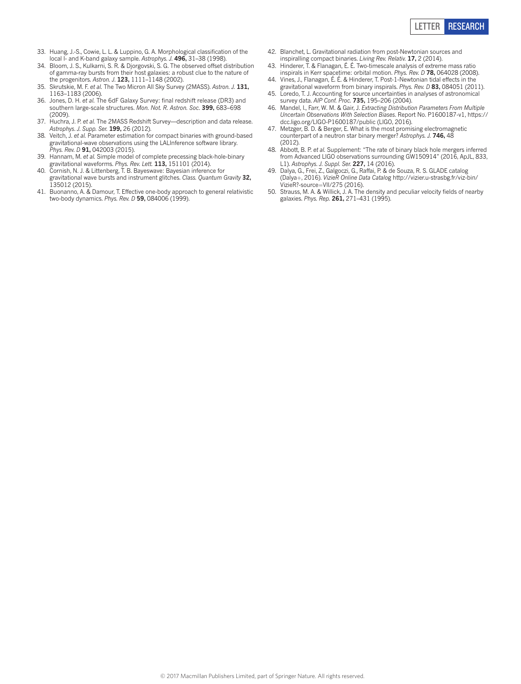

- <span id="page-10-0"></span>33. Huang, J.-S., Cowie, L. L. & Luppino, G. A. Morphological classification of the local I- and K-band galaxy sample. *Astrophys. J.* **496,** 31–38 (1998).
- <span id="page-10-1"></span>34. Bloom, J. S., Kulkarni, S. R. & Djorgovski, S. G. The observed offset distribution of gamma-ray bursts from their host galaxies: a robust clue to the nature of the progenitors. *Astron. J*. **123,** 1111–1148 (2002).
- <span id="page-10-2"></span>35. Skrutskie, M. F. *et al.* The Two Micron All Sky Survey (2MASS). *Astron. J.* **131,** 1163–1183 (2006).
- <span id="page-10-3"></span>36. Jones, D. H. *et al.* The 6dF Galaxy Survey: final redshift release (DR3) and southern large-scale structures. *Mon. Not. R. Astron. Soc*. **399,** 683–698 (2009)
- <span id="page-10-4"></span>37. Huchra, J. P. *et al.* The 2MASS Redshift Survey—description and data release. *Astrophys*. *J. Supp. Ser.* **199,** 26 (2012).
- <span id="page-10-5"></span>38. Veitch, J. *et al.* Parameter estimation for compact binaries with ground-based gravitational-wave observations using the LALInference software library. *Phys. Rev. D* **91,** 042003 (2015).
- <span id="page-10-6"></span>39. Hannam, M. *et al.* Simple model of complete precessing black-hole-binary gravitational waveforms. *Phys. Rev. Lett.* **113,** 151101 (2014).
- <span id="page-10-7"></span>40. Cornish, N. J. & Littenberg, T. B. Bayeswave: Bayesian inference for gravitational wave bursts and instrument glitches. *Class. Quantum Gravity* **32,** 135012 (2015).
- <span id="page-10-8"></span>41. Buonanno, A. & Damour, T. Effective one-body approach to general relativistic two-body dynamics. *Phys. Rev. D* **59,** 084006 (1999).
- <span id="page-10-9"></span>42. Blanchet, L. Gravitational radiation from post-Newtonian sources and inspiralling compact binaries. *Living Rev. Relativ.* **17,** 2 (2014).
- <span id="page-10-10"></span>43. Hinderer, T. & Flanagan, É. É. Two-timescale analysis of extreme mass ratio inspirals in Kerr spacetime: orbital motion. *Phys. Rev. D* **78,** 064028 (2008).
- <span id="page-10-11"></span>44. Vines, J., Flanagan, É. É. & Hinderer, T. Post-1-Newtonian tidal effects in the gravitational waveform from binary inspirals. *Phys. Rev. D* **83,** 084051 (2011).
- <span id="page-10-12"></span>45. Loredo, T. J. Accounting for source uncertainties in analyses of astronomical survey data. *AIP Conf. Proc.* **735,** 195–206 (2004).
- <span id="page-10-13"></span>46. Mandel, I., Farr, W. M. & Gair, J. *Extracting Distribution Parameters From Multiple Uncertain Observations With Selection Biases*. Report No. P1600187-v1, [https://](https://dcc.ligo.org/LIGO-P1600187/public) [dcc.ligo.org/LIGO-P1600187/public](https://dcc.ligo.org/LIGO-P1600187/public) (LIGO, 2016).
- <span id="page-10-14"></span>47. Metzger, B. D. & Berger, E. What is the most promising electromagnetic counterpart of a neutron star binary merger? *Astrophys. J.* **746,** 48  $(2012)$
- <span id="page-10-15"></span>48. Abbott, B. P. *et al.* Supplement: "The rate of binary black hole mergers inferred from Advanced LIGO observations surrounding GW150914" (2016, ApJL, 833, L1). *Astrophys. J. Suppl. Ser.* **227,** 14 (2016).
- <span id="page-10-16"></span>49. Dalya, G., Frei, Z., Galgoczi, G., Raffai, P. & de Souza, R. S. GLADE catalog (Dalya+, 2016). *VizieR Online Data Catalo*g [http://vizier.u-strasbg.fr/viz-bin/](http://vizier.u-strasbg.fr/viz-bin/VizieR?-source=VII/275) [VizieR?-source](http://vizier.u-strasbg.fr/viz-bin/VizieR?-source=VII/275)=VII/275 (2016).
- <span id="page-10-17"></span>50. Strauss, M. A. & Willick, J. A. The density and peculiar velocity fields of nearby galaxies. *Phys. Rep.* **261,** 271–431 (1995).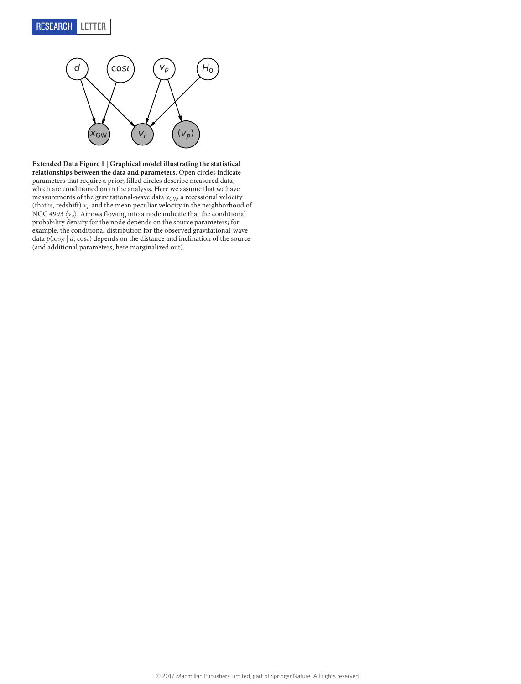

<span id="page-11-0"></span>**Extended Data Figure 1** | **Graphical model illustrating the statistical relationships between the data and parameters.** Open circles indicate parameters that require a prior; filled circles describe measured data, which are conditioned on in the analysis. Here we assume that we have measurements of the gravitational-wave data  $x_{\text{GW}}$ , a recessional velocity (that is, redshift)  $v_{\rm r}$  and the mean peculiar velocity in the neighborhood of NGC 4993 $\langle v_{\mathrm{p}} \rangle$  . Arrows flowing into a node indicate that the conditional probability density for the node depends on the source parameters; for example, the conditional distribution for the observed gravitational-wave data  $p(x_{\text{GW}} | d, \cos t)$  depends on the distance and inclination of the source (and additional parameters, here marginalized out).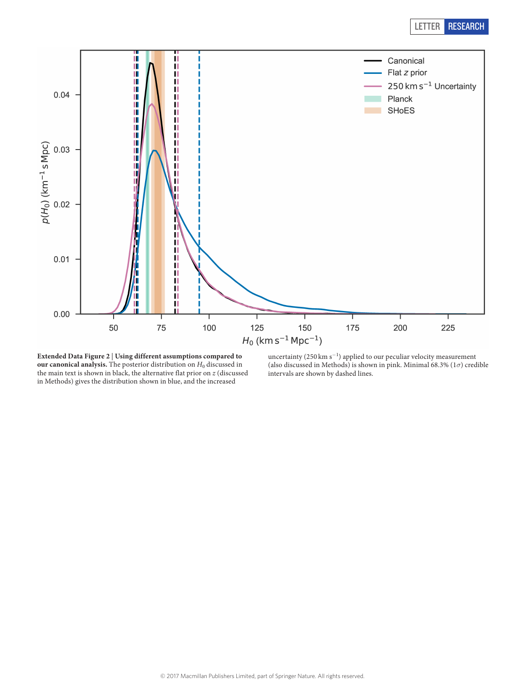

<span id="page-12-0"></span>**Extended Data Figure 2** | **Using different assumptions compared to our canonical analysis.** The posterior distribution on *H*0 discussed in the main text is shown in black, the alternative flat prior on *z* (discussed in Methods) gives the distribution shown in blue, and the increased

uncertainty (250 km s−<sup>1</sup> ) applied to our peculiar velocity measurement (also discussed in Methods) is shown in pink. Minimal 68.3% (1*σ*) credible intervals are shown by dashed lines.